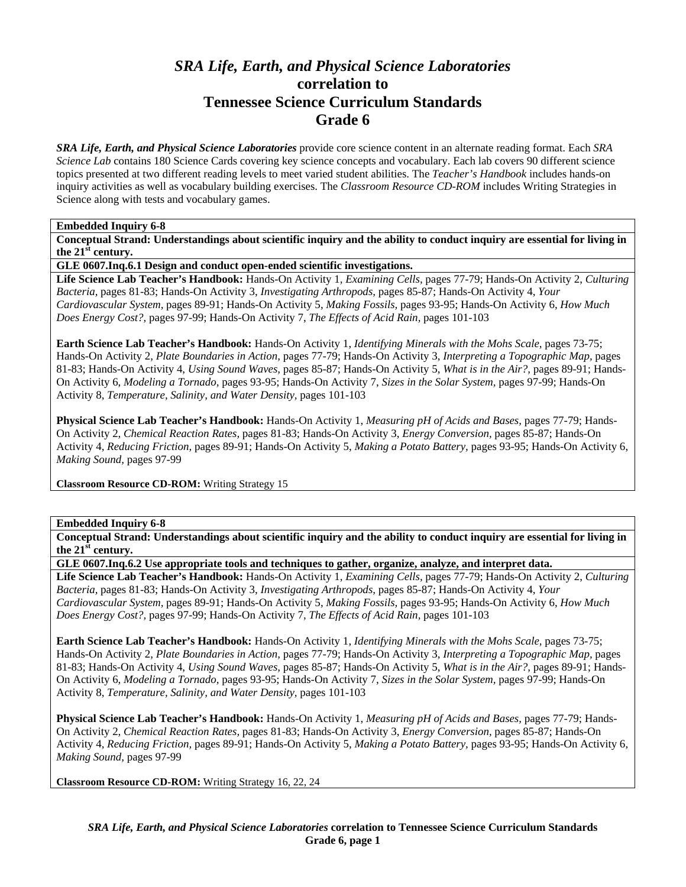# *SRA Life, Earth, and Physical Science Laboratories*  **correlation to Tennessee Science Curriculum Standards Grade 6**

*SRA Life, Earth, and Physical Science Laboratories* provide core science content in an alternate reading format. Each *SRA Science Lab* contains 180 Science Cards covering key science concepts and vocabulary. Each lab covers 90 different science topics presented at two different reading levels to meet varied student abilities. The *Teacher's Handbook* includes hands-on inquiry activities as well as vocabulary building exercises. The *Classroom Resource CD-ROM* includes Writing Strategies in Science along with tests and vocabulary games.

#### **Embedded Inquiry 6-8**

**Conceptual Strand: Understandings about scientific inquiry and the ability to conduct inquiry are essential for living in the 21st century.** 

**GLE 0607.Inq.6.1 Design and conduct open-ended scientific investigations.** 

**Life Science Lab Teacher's Handbook:** Hands-On Activity 1, *Examining Cells,* pages 77-79; Hands-On Activity 2, *Culturing Bacteria,* pages 81-83; Hands-On Activity 3, *Investigating Arthropods,* pages 85-87; Hands-On Activity 4, *Your Cardiovascular System,* pages 89-91; Hands-On Activity 5, *Making Fossils,* pages 93-95; Hands-On Activity 6, *How Much Does Energy Cost?,* pages 97-99; Hands-On Activity 7, *The Effects of Acid Rain,* pages 101-103

**Earth Science Lab Teacher's Handbook:** Hands-On Activity 1, *Identifying Minerals with the Mohs Scale,* pages 73-75; Hands-On Activity 2, *Plate Boundaries in Action,* pages 77-79; Hands-On Activity 3, *Interpreting a Topographic Map,* pages 81-83; Hands-On Activity 4, *Using Sound Waves,* pages 85-87; Hands-On Activity 5, *What is in the Air?,* pages 89-91; Hands-On Activity 6, *Modeling a Tornado,* pages 93-95; Hands-On Activity 7, *Sizes in the Solar System,* pages 97-99; Hands-On Activity 8, *Temperature, Salinity, and Water Density,* pages 101-103

**Physical Science Lab Teacher's Handbook:** Hands-On Activity 1, *Measuring pH of Acids and Bases,* pages 77-79; Hands-On Activity 2, *Chemical Reaction Rates,* pages 81-83; Hands-On Activity 3, *Energy Conversion,* pages 85-87; Hands-On Activity 4, *Reducing Friction,* pages 89-91; Hands-On Activity 5, *Making a Potato Battery,* pages 93-95; Hands-On Activity 6, *Making Sound,* pages 97-99

**Classroom Resource CD-ROM:** Writing Strategy 15

## **Embedded Inquiry 6-8**

**Conceptual Strand: Understandings about scientific inquiry and the ability to conduct inquiry are essential for living in the 21st century.** 

**GLE 0607.Inq.6.2 Use appropriate tools and techniques to gather, organize, analyze, and interpret data.** 

**Life Science Lab Teacher's Handbook:** Hands-On Activity 1, *Examining Cells,* pages 77-79; Hands-On Activity 2, *Culturing Bacteria,* pages 81-83; Hands-On Activity 3, *Investigating Arthropods,* pages 85-87; Hands-On Activity 4, *Your Cardiovascular System,* pages 89-91; Hands-On Activity 5, *Making Fossils,* pages 93-95; Hands-On Activity 6, *How Much Does Energy Cost?,* pages 97-99; Hands-On Activity 7, *The Effects of Acid Rain,* pages 101-103

**Earth Science Lab Teacher's Handbook:** Hands-On Activity 1, *Identifying Minerals with the Mohs Scale,* pages 73-75; Hands-On Activity 2, *Plate Boundaries in Action,* pages 77-79; Hands-On Activity 3, *Interpreting a Topographic Map,* pages 81-83; Hands-On Activity 4, *Using Sound Waves,* pages 85-87; Hands-On Activity 5, *What is in the Air?,* pages 89-91; Hands-On Activity 6, *Modeling a Tornado,* pages 93-95; Hands-On Activity 7, *Sizes in the Solar System,* pages 97-99; Hands-On Activity 8, *Temperature, Salinity, and Water Density,* pages 101-103

**Physical Science Lab Teacher's Handbook:** Hands-On Activity 1, *Measuring pH of Acids and Bases,* pages 77-79; Hands-On Activity 2, *Chemical Reaction Rates,* pages 81-83; Hands-On Activity 3, *Energy Conversion,* pages 85-87; Hands-On Activity 4, *Reducing Friction,* pages 89-91; Hands-On Activity 5, *Making a Potato Battery,* pages 93-95; Hands-On Activity 6, *Making Sound,* pages 97-99

**Classroom Resource CD-ROM:** Writing Strategy 16, 22, 24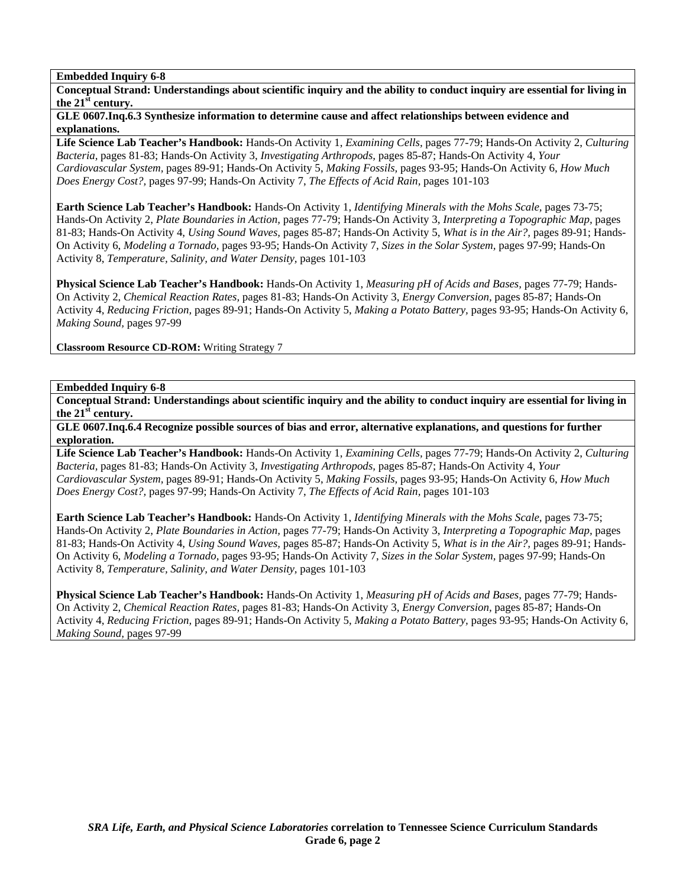**Conceptual Strand: Understandings about scientific inquiry and the ability to conduct inquiry are essential for living in the 21st century.** 

**GLE 0607.Inq.6.3 Synthesize information to determine cause and affect relationships between evidence and explanations.** 

**Life Science Lab Teacher's Handbook:** Hands-On Activity 1, *Examining Cells,* pages 77-79; Hands-On Activity 2, *Culturing Bacteria,* pages 81-83; Hands-On Activity 3, *Investigating Arthropods,* pages 85-87; Hands-On Activity 4, *Your Cardiovascular System,* pages 89-91; Hands-On Activity 5, *Making Fossils,* pages 93-95; Hands-On Activity 6, *How Much Does Energy Cost?,* pages 97-99; Hands-On Activity 7, *The Effects of Acid Rain,* pages 101-103

**Earth Science Lab Teacher's Handbook:** Hands-On Activity 1, *Identifying Minerals with the Mohs Scale,* pages 73-75; Hands-On Activity 2, *Plate Boundaries in Action,* pages 77-79; Hands-On Activity 3, *Interpreting a Topographic Map,* pages 81-83; Hands-On Activity 4, *Using Sound Waves,* pages 85-87; Hands-On Activity 5, *What is in the Air?,* pages 89-91; Hands-On Activity 6, *Modeling a Tornado,* pages 93-95; Hands-On Activity 7, *Sizes in the Solar System,* pages 97-99; Hands-On Activity 8, *Temperature, Salinity, and Water Density,* pages 101-103

**Physical Science Lab Teacher's Handbook:** Hands-On Activity 1, *Measuring pH of Acids and Bases,* pages 77-79; Hands-On Activity 2, *Chemical Reaction Rates,* pages 81-83; Hands-On Activity 3, *Energy Conversion,* pages 85-87; Hands-On Activity 4, *Reducing Friction,* pages 89-91; Hands-On Activity 5, *Making a Potato Battery,* pages 93-95; Hands-On Activity 6, *Making Sound,* pages 97-99

**Classroom Resource CD-ROM:** Writing Strategy 7

#### **Embedded Inquiry 6-8**

**Conceptual Strand: Understandings about scientific inquiry and the ability to conduct inquiry are essential for living in the 21st century.** 

**GLE 0607.Inq.6.4 Recognize possible sources of bias and error, alternative explanations, and questions for further exploration.** 

**Life Science Lab Teacher's Handbook:** Hands-On Activity 1, *Examining Cells,* pages 77-79; Hands-On Activity 2, *Culturing Bacteria,* pages 81-83; Hands-On Activity 3, *Investigating Arthropods,* pages 85-87; Hands-On Activity 4, *Your Cardiovascular System,* pages 89-91; Hands-On Activity 5, *Making Fossils,* pages 93-95; Hands-On Activity 6, *How Much Does Energy Cost?,* pages 97-99; Hands-On Activity 7, *The Effects of Acid Rain,* pages 101-103

**Earth Science Lab Teacher's Handbook:** Hands-On Activity 1, *Identifying Minerals with the Mohs Scale,* pages 73-75; Hands-On Activity 2, *Plate Boundaries in Action,* pages 77-79; Hands-On Activity 3, *Interpreting a Topographic Map,* pages 81-83; Hands-On Activity 4, *Using Sound Waves,* pages 85-87; Hands-On Activity 5, *What is in the Air?,* pages 89-91; Hands-On Activity 6, *Modeling a Tornado,* pages 93-95; Hands-On Activity 7, *Sizes in the Solar System,* pages 97-99; Hands-On Activity 8, *Temperature, Salinity, and Water Density,* pages 101-103

**Physical Science Lab Teacher's Handbook:** Hands-On Activity 1, *Measuring pH of Acids and Bases,* pages 77-79; Hands-On Activity 2, *Chemical Reaction Rates,* pages 81-83; Hands-On Activity 3, *Energy Conversion,* pages 85-87; Hands-On Activity 4, *Reducing Friction,* pages 89-91; Hands-On Activity 5, *Making a Potato Battery,* pages 93-95; Hands-On Activity 6, *Making Sound,* pages 97-99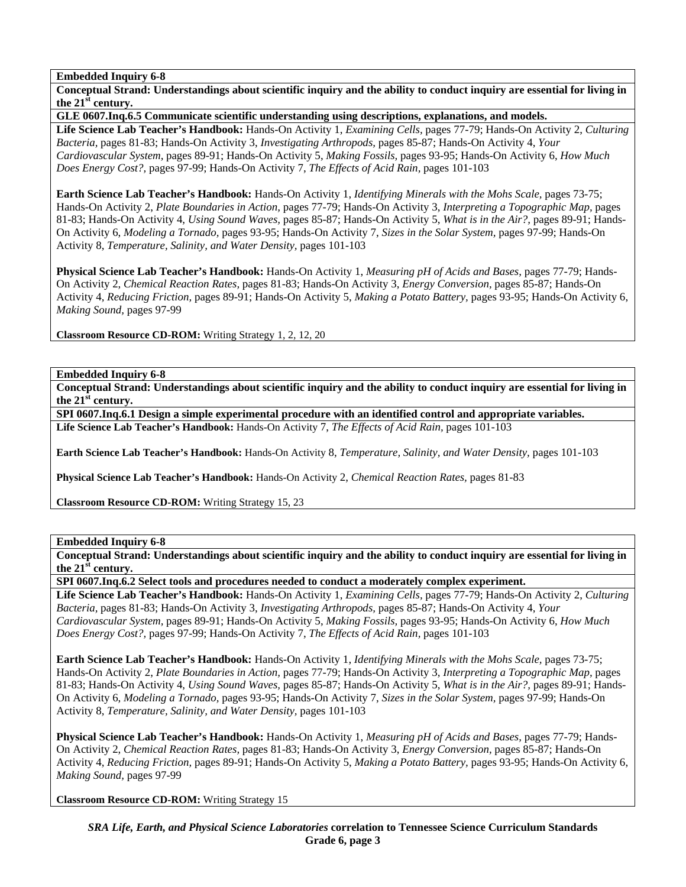**Conceptual Strand: Understandings about scientific inquiry and the ability to conduct inquiry are essential for living in the 21st century.** 

**GLE 0607.Inq.6.5 Communicate scientific understanding using descriptions, explanations, and models.** 

**Life Science Lab Teacher's Handbook:** Hands-On Activity 1, *Examining Cells,* pages 77-79; Hands-On Activity 2, *Culturing Bacteria,* pages 81-83; Hands-On Activity 3, *Investigating Arthropods,* pages 85-87; Hands-On Activity 4, *Your Cardiovascular System,* pages 89-91; Hands-On Activity 5, *Making Fossils,* pages 93-95; Hands-On Activity 6, *How Much Does Energy Cost?,* pages 97-99; Hands-On Activity 7, *The Effects of Acid Rain,* pages 101-103

**Earth Science Lab Teacher's Handbook:** Hands-On Activity 1, *Identifying Minerals with the Mohs Scale,* pages 73-75; Hands-On Activity 2, *Plate Boundaries in Action,* pages 77-79; Hands-On Activity 3, *Interpreting a Topographic Map,* pages 81-83; Hands-On Activity 4, *Using Sound Waves,* pages 85-87; Hands-On Activity 5, *What is in the Air?,* pages 89-91; Hands-On Activity 6, *Modeling a Tornado,* pages 93-95; Hands-On Activity 7, *Sizes in the Solar System,* pages 97-99; Hands-On Activity 8, *Temperature, Salinity, and Water Density,* pages 101-103

**Physical Science Lab Teacher's Handbook:** Hands-On Activity 1, *Measuring pH of Acids and Bases,* pages 77-79; Hands-On Activity 2, *Chemical Reaction Rates,* pages 81-83; Hands-On Activity 3, *Energy Conversion,* pages 85-87; Hands-On Activity 4, *Reducing Friction,* pages 89-91; Hands-On Activity 5, *Making a Potato Battery,* pages 93-95; Hands-On Activity 6, *Making Sound,* pages 97-99

**Classroom Resource CD-ROM:** Writing Strategy 1, 2, 12, 20

**Embedded Inquiry 6-8** 

**Conceptual Strand: Understandings about scientific inquiry and the ability to conduct inquiry are essential for living in the 21st century.** 

**SPI 0607.Inq.6.1 Design a simple experimental procedure with an identified control and appropriate variables. Life Science Lab Teacher's Handbook:** Hands-On Activity 7, *The Effects of Acid Rain,* pages 101-103

**Earth Science Lab Teacher's Handbook:** Hands-On Activity 8, *Temperature, Salinity, and Water Density,* pages 101-103

**Physical Science Lab Teacher's Handbook:** Hands-On Activity 2, *Chemical Reaction Rates,* pages 81-83

**Classroom Resource CD-ROM:** Writing Strategy 15, 23

## **Embedded Inquiry 6-8**

**Conceptual Strand: Understandings about scientific inquiry and the ability to conduct inquiry are essential for living in the 21st century.** 

**SPI 0607.Inq.6.2 Select tools and procedures needed to conduct a moderately complex experiment.** 

**Life Science Lab Teacher's Handbook:** Hands-On Activity 1, *Examining Cells,* pages 77-79; Hands-On Activity 2, *Culturing Bacteria,* pages 81-83; Hands-On Activity 3, *Investigating Arthropods,* pages 85-87; Hands-On Activity 4, *Your Cardiovascular System,* pages 89-91; Hands-On Activity 5, *Making Fossils,* pages 93-95; Hands-On Activity 6, *How Much Does Energy Cost?,* pages 97-99; Hands-On Activity 7, *The Effects of Acid Rain,* pages 101-103

**Earth Science Lab Teacher's Handbook:** Hands-On Activity 1, *Identifying Minerals with the Mohs Scale,* pages 73-75; Hands-On Activity 2, *Plate Boundaries in Action,* pages 77-79; Hands-On Activity 3, *Interpreting a Topographic Map,* pages 81-83; Hands-On Activity 4, *Using Sound Waves,* pages 85-87; Hands-On Activity 5, *What is in the Air?,* pages 89-91; Hands-On Activity 6, *Modeling a Tornado,* pages 93-95; Hands-On Activity 7, *Sizes in the Solar System,* pages 97-99; Hands-On Activity 8, *Temperature, Salinity, and Water Density,* pages 101-103

**Physical Science Lab Teacher's Handbook:** Hands-On Activity 1, *Measuring pH of Acids and Bases,* pages 77-79; Hands-On Activity 2, *Chemical Reaction Rates,* pages 81-83; Hands-On Activity 3, *Energy Conversion,* pages 85-87; Hands-On Activity 4, *Reducing Friction,* pages 89-91; Hands-On Activity 5, *Making a Potato Battery,* pages 93-95; Hands-On Activity 6, *Making Sound,* pages 97-99

**Classroom Resource CD-ROM:** Writing Strategy 15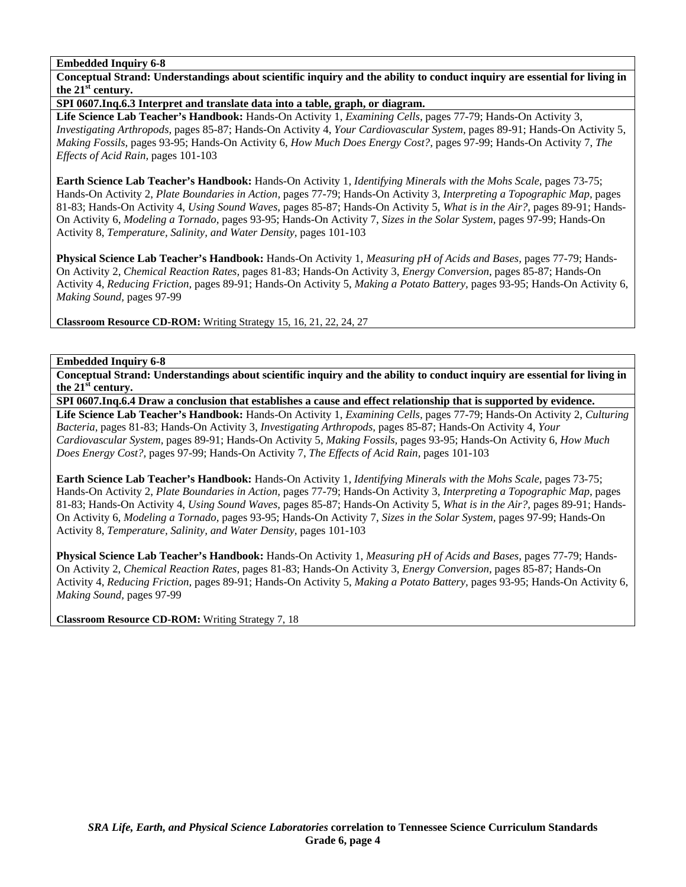**Conceptual Strand: Understandings about scientific inquiry and the ability to conduct inquiry are essential for living in the 21st century.** 

**SPI 0607.Inq.6.3 Interpret and translate data into a table, graph, or diagram.** 

**Life Science Lab Teacher's Handbook:** Hands-On Activity 1, *Examining Cells,* pages 77-79; Hands-On Activity 3, *Investigating Arthropods,* pages 85-87; Hands-On Activity 4, *Your Cardiovascular System,* pages 89-91; Hands-On Activity 5, *Making Fossils,* pages 93-95; Hands-On Activity 6, *How Much Does Energy Cost?,* pages 97-99; Hands-On Activity 7, *The Effects of Acid Rain,* pages 101-103

**Earth Science Lab Teacher's Handbook:** Hands-On Activity 1, *Identifying Minerals with the Mohs Scale,* pages 73-75; Hands-On Activity 2, *Plate Boundaries in Action,* pages 77-79; Hands-On Activity 3, *Interpreting a Topographic Map,* pages 81-83; Hands-On Activity 4, *Using Sound Waves,* pages 85-87; Hands-On Activity 5, *What is in the Air?,* pages 89-91; Hands-On Activity 6, *Modeling a Tornado,* pages 93-95; Hands-On Activity 7, *Sizes in the Solar System,* pages 97-99; Hands-On Activity 8, *Temperature, Salinity, and Water Density,* pages 101-103

**Physical Science Lab Teacher's Handbook:** Hands-On Activity 1, *Measuring pH of Acids and Bases,* pages 77-79; Hands-On Activity 2, *Chemical Reaction Rates,* pages 81-83; Hands-On Activity 3, *Energy Conversion,* pages 85-87; Hands-On Activity 4, *Reducing Friction,* pages 89-91; Hands-On Activity 5, *Making a Potato Battery,* pages 93-95; Hands-On Activity 6, *Making Sound,* pages 97-99

**Classroom Resource CD-ROM:** Writing Strategy 15, 16, 21, 22, 24, 27

# **Embedded Inquiry 6-8**

**Conceptual Strand: Understandings about scientific inquiry and the ability to conduct inquiry are essential for living in the 21st century.** 

**SPI 0607.Inq.6.4 Draw a conclusion that establishes a cause and effect relationship that is supported by evidence.** 

**Life Science Lab Teacher's Handbook:** Hands-On Activity 1, *Examining Cells,* pages 77-79; Hands-On Activity 2, *Culturing Bacteria,* pages 81-83; Hands-On Activity 3, *Investigating Arthropods,* pages 85-87; Hands-On Activity 4, *Your Cardiovascular System,* pages 89-91; Hands-On Activity 5, *Making Fossils,* pages 93-95; Hands-On Activity 6, *How Much Does Energy Cost?,* pages 97-99; Hands-On Activity 7, *The Effects of Acid Rain,* pages 101-103

**Earth Science Lab Teacher's Handbook:** Hands-On Activity 1, *Identifying Minerals with the Mohs Scale,* pages 73-75; Hands-On Activity 2, *Plate Boundaries in Action,* pages 77-79; Hands-On Activity 3, *Interpreting a Topographic Map,* pages 81-83; Hands-On Activity 4, *Using Sound Waves,* pages 85-87; Hands-On Activity 5, *What is in the Air?,* pages 89-91; Hands-On Activity 6, *Modeling a Tornado,* pages 93-95; Hands-On Activity 7, *Sizes in the Solar System,* pages 97-99; Hands-On Activity 8, *Temperature, Salinity, and Water Density,* pages 101-103

**Physical Science Lab Teacher's Handbook:** Hands-On Activity 1, *Measuring pH of Acids and Bases,* pages 77-79; Hands-On Activity 2, *Chemical Reaction Rates,* pages 81-83; Hands-On Activity 3, *Energy Conversion,* pages 85-87; Hands-On Activity 4, *Reducing Friction,* pages 89-91; Hands-On Activity 5, *Making a Potato Battery,* pages 93-95; Hands-On Activity 6, *Making Sound,* pages 97-99

**Classroom Resource CD-ROM:** Writing Strategy 7, 18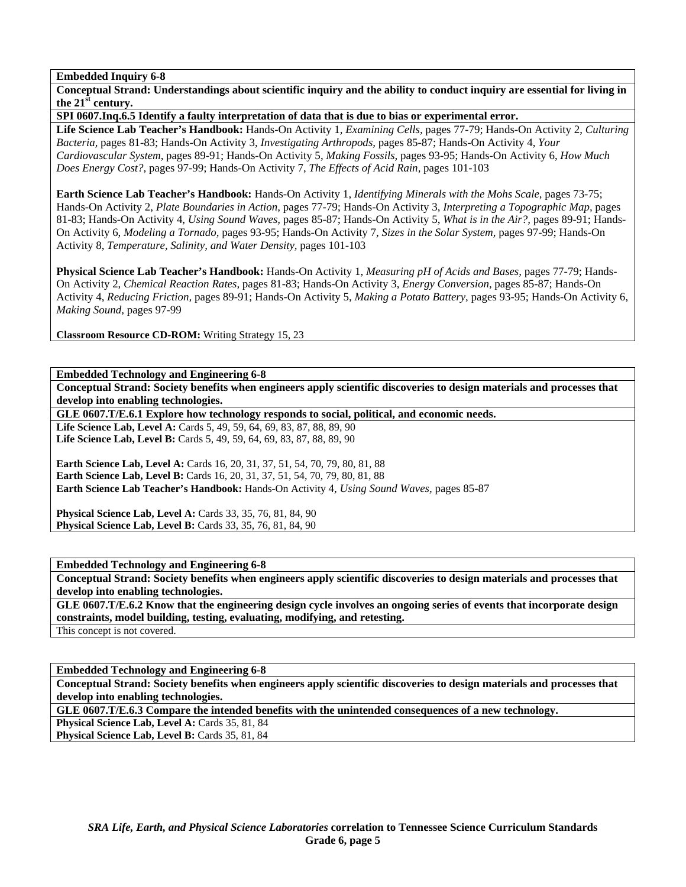**Conceptual Strand: Understandings about scientific inquiry and the ability to conduct inquiry are essential for living in the 21st century.** 

**SPI 0607.Inq.6.5 Identify a faulty interpretation of data that is due to bias or experimental error.** 

**Life Science Lab Teacher's Handbook:** Hands-On Activity 1, *Examining Cells,* pages 77-79; Hands-On Activity 2, *Culturing Bacteria,* pages 81-83; Hands-On Activity 3, *Investigating Arthropods,* pages 85-87; Hands-On Activity 4, *Your Cardiovascular System,* pages 89-91; Hands-On Activity 5, *Making Fossils,* pages 93-95; Hands-On Activity 6, *How Much Does Energy Cost?,* pages 97-99; Hands-On Activity 7, *The Effects of Acid Rain,* pages 101-103

**Earth Science Lab Teacher's Handbook:** Hands-On Activity 1, *Identifying Minerals with the Mohs Scale,* pages 73-75; Hands-On Activity 2, *Plate Boundaries in Action,* pages 77-79; Hands-On Activity 3, *Interpreting a Topographic Map,* pages 81-83; Hands-On Activity 4, *Using Sound Waves,* pages 85-87; Hands-On Activity 5, *What is in the Air?,* pages 89-91; Hands-On Activity 6, *Modeling a Tornado,* pages 93-95; Hands-On Activity 7, *Sizes in the Solar System,* pages 97-99; Hands-On Activity 8, *Temperature, Salinity, and Water Density,* pages 101-103

**Physical Science Lab Teacher's Handbook:** Hands-On Activity 1, *Measuring pH of Acids and Bases,* pages 77-79; Hands-On Activity 2, *Chemical Reaction Rates,* pages 81-83; Hands-On Activity 3, *Energy Conversion,* pages 85-87; Hands-On Activity 4, *Reducing Friction,* pages 89-91; Hands-On Activity 5, *Making a Potato Battery,* pages 93-95; Hands-On Activity 6, *Making Sound,* pages 97-99

**Classroom Resource CD-ROM:** Writing Strategy 15, 23

**Embedded Technology and Engineering 6-8** 

**Conceptual Strand: Society benefits when engineers apply scientific discoveries to design materials and processes that develop into enabling technologies.** 

**GLE 0607.T/E.6.1 Explore how technology responds to social, political, and economic needs.** 

Life Science Lab, Level A: Cards 5, 49, 59, 64, 69, 83, 87, 88, 89, 90 Life Science Lab, Level B: Cards 5, 49, 59, 64, 69, 83, 87, 88, 89, 90

**Earth Science Lab, Level A: Cards 16, 20, 31, 37, 51, 54, 70, 79, 80, 81, 88 Earth Science Lab, Level B:** Cards 16, 20, 31, 37, 51, 54, 70, 79, 80, 81, 88 **Earth Science Lab Teacher's Handbook:** Hands-On Activity 4, *Using Sound Waves,* pages 85-87

**Physical Science Lab, Level A: Cards 33, 35, 76, 81, 84, 90 Physical Science Lab, Level B:** Cards 33, 35, 76, 81, 84, 90

**Embedded Technology and Engineering 6-8** 

**Conceptual Strand: Society benefits when engineers apply scientific discoveries to design materials and processes that develop into enabling technologies.** 

**GLE 0607.T/E.6.2 Know that the engineering design cycle involves an ongoing series of events that incorporate design constraints, model building, testing, evaluating, modifying, and retesting.** 

This concept is not covered.

**Embedded Technology and Engineering 6-8 Conceptual Strand: Society benefits when engineers apply scientific discoveries to design materials and processes that develop into enabling technologies.** 

**GLE 0607.T/E.6.3 Compare the intended benefits with the unintended consequences of a new technology.** 

Physical Science Lab, Level A: Cards 35, 81, 84

Physical Science Lab, Level B: Cards 35, 81, 84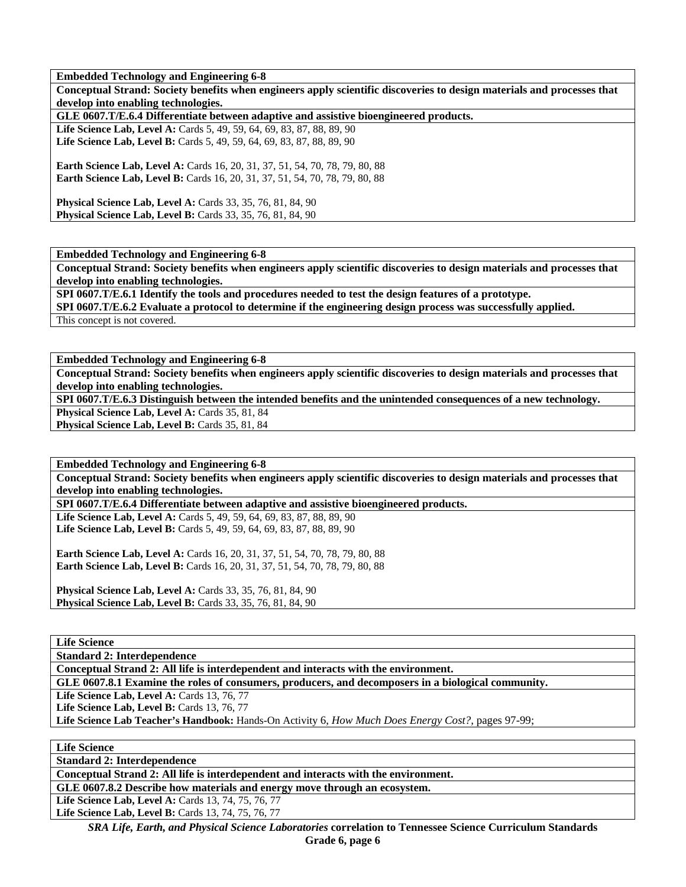**Embedded Technology and Engineering 6-8** 

**Conceptual Strand: Society benefits when engineers apply scientific discoveries to design materials and processes that develop into enabling technologies.** 

**GLE 0607.T/E.6.4 Differentiate between adaptive and assistive bioengineered products.** 

Life Science Lab, Level A: Cards 5, 49, 59, 64, 69, 83, 87, 88, 89, 90 Life Science Lab, Level B: Cards 5, 49, 59, 64, 69, 83, 87, 88, 89, 90

**Earth Science Lab, Level A: Cards 16, 20, 31, 37, 51, 54, 70, 78, 79, 80, 88 Earth Science Lab, Level B:** Cards 16, 20, 31, 37, 51, 54, 70, 78, 79, 80, 88

**Physical Science Lab, Level A: Cards 33, 35, 76, 81, 84, 90 Physical Science Lab, Level B:** Cards 33, 35, 76, 81, 84, 90

**Embedded Technology and Engineering 6-8** 

**Conceptual Strand: Society benefits when engineers apply scientific discoveries to design materials and processes that develop into enabling technologies.** 

**SPI 0607.T/E.6.1 Identify the tools and procedures needed to test the design features of a prototype.** 

**SPI 0607.T/E.6.2 Evaluate a protocol to determine if the engineering design process was successfully applied.** 

This concept is not covered.

**Embedded Technology and Engineering 6-8** 

**Conceptual Strand: Society benefits when engineers apply scientific discoveries to design materials and processes that develop into enabling technologies.** 

**SPI 0607.T/E.6.3 Distinguish between the intended benefits and the unintended consequences of a new technology.** 

Physical Science Lab, Level A: Cards 35, 81, 84 Physical Science Lab, Level B: Cards 35, 81, 84

**Embedded Technology and Engineering 6-8** 

**Conceptual Strand: Society benefits when engineers apply scientific discoveries to design materials and processes that develop into enabling technologies.** 

**SPI 0607.T/E.6.4 Differentiate between adaptive and assistive bioengineered products.** 

Life Science Lab, Level A: Cards 5, 49, 59, 64, 69, 83, 87, 88, 89, 90 Life Science Lab, Level B: Cards 5, 49, 59, 64, 69, 83, 87, 88, 89, 90

**Earth Science Lab, Level A: Cards 16, 20, 31, 37, 51, 54, 70, 78, 79, 80, 88 Earth Science Lab, Level B:** Cards 16, 20, 31, 37, 51, 54, 70, 78, 79, 80, 88

**Physical Science Lab, Level A: Cards 33, 35, 76, 81, 84, 90 Physical Science Lab, Level B:** Cards 33, 35, 76, 81, 84, 90

**Life Science** 

**Standard 2: Interdependence** 

**Conceptual Strand 2: All life is interdependent and interacts with the environment.** 

**GLE 0607.8.1 Examine the roles of consumers, producers, and decomposers in a biological community.** 

**Life Science Lab, Level A: Cards 13, 76, 77** 

**Life Science Lab, Level B: Cards 13, 76, 77** 

**Life Science Lab Teacher's Handbook:** Hands-On Activity 6, *How Much Does Energy Cost?,* pages 97-99;

**Life Science** 

**Standard 2: Interdependence** 

**Conceptual Strand 2: All life is interdependent and interacts with the environment.** 

**GLE 0607.8.2 Describe how materials and energy move through an ecosystem.** 

Life Science Lab, Level A: Cards 13, 74, 75, 76, 77

Life Science Lab, Level B: Cards 13, 74, 75, 76, 77

*SRA Life, Earth, and Physical Science Laboratories* **correlation to Tennessee Science Curriculum Standards Grade 6, page 6**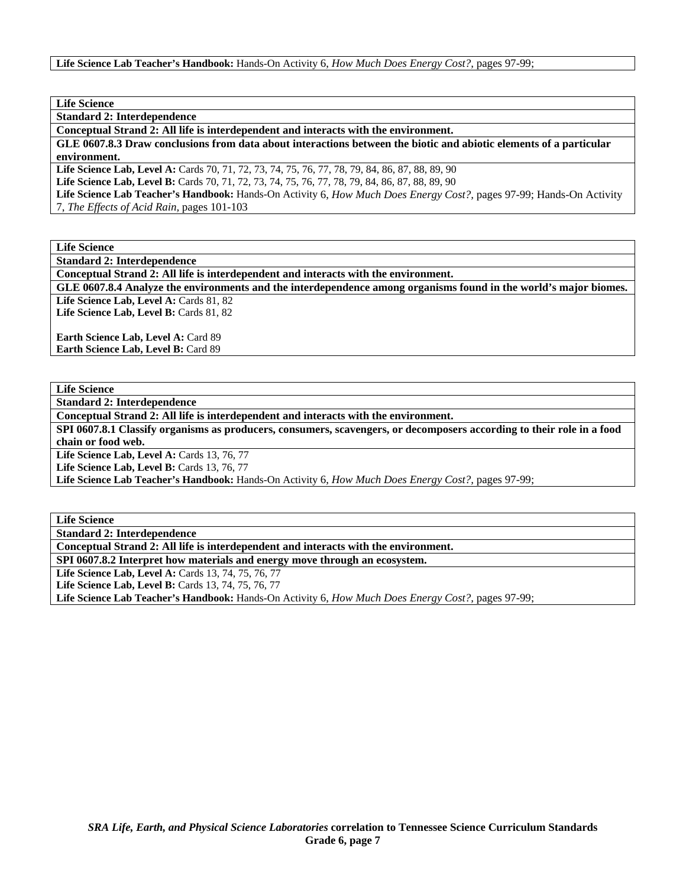**Standard 2: Interdependence** 

**Conceptual Strand 2: All life is interdependent and interacts with the environment.** 

**GLE 0607.8.3 Draw conclusions from data about interactions between the biotic and abiotic elements of a particular environment.** 

**Life Science Lab, Level A:** Cards 70, 71, 72, 73, 74, 75, 76, 77, 78, 79, 84, 86, 87, 88, 89, 90

**Life Science Lab, Level B:** Cards 70, 71, 72, 73, 74, 75, 76, 77, 78, 79, 84, 86, 87, 88, 89, 90

**Life Science Lab Teacher's Handbook:** Hands-On Activity 6, *How Much Does Energy Cost?,* pages 97-99; Hands-On Activity 7, *The Effects of Acid Rain,* pages 101-103

**Life Science** 

**Standard 2: Interdependence** 

**Conceptual Strand 2: All life is interdependent and interacts with the environment.** 

**GLE 0607.8.4 Analyze the environments and the interdependence among organisms found in the world's major biomes.**  Life Science Lab, Level A: Cards 81, 82

Life Science Lab, Level B: Cards 81, 82

Earth Science Lab, Level A: Card 89 **Earth Science Lab, Level B: Card 89** 

**Life Science** 

**Standard 2: Interdependence** 

**Conceptual Strand 2: All life is interdependent and interacts with the environment.** 

**SPI 0607.8.1 Classify organisms as producers, consumers, scavengers, or decomposers according to their role in a food chain or food web.** 

Life Science Lab, Level A: Cards 13, 76, 77

Life Science Lab, Level B: Cards 13, 76, 77

**Life Science Lab Teacher's Handbook:** Hands-On Activity 6, *How Much Does Energy Cost?,* pages 97-99;

**Life Science** 

**Standard 2: Interdependence** 

**Conceptual Strand 2: All life is interdependent and interacts with the environment.** 

**SPI 0607.8.2 Interpret how materials and energy move through an ecosystem.** 

**Life Science Lab, Level A:** Cards 13, 74, 75, 76, 77

Life Science Lab, Level B: Cards 13, 74, 75, 76, 77

**Life Science Lab Teacher's Handbook:** Hands-On Activity 6, *How Much Does Energy Cost?,* pages 97-99;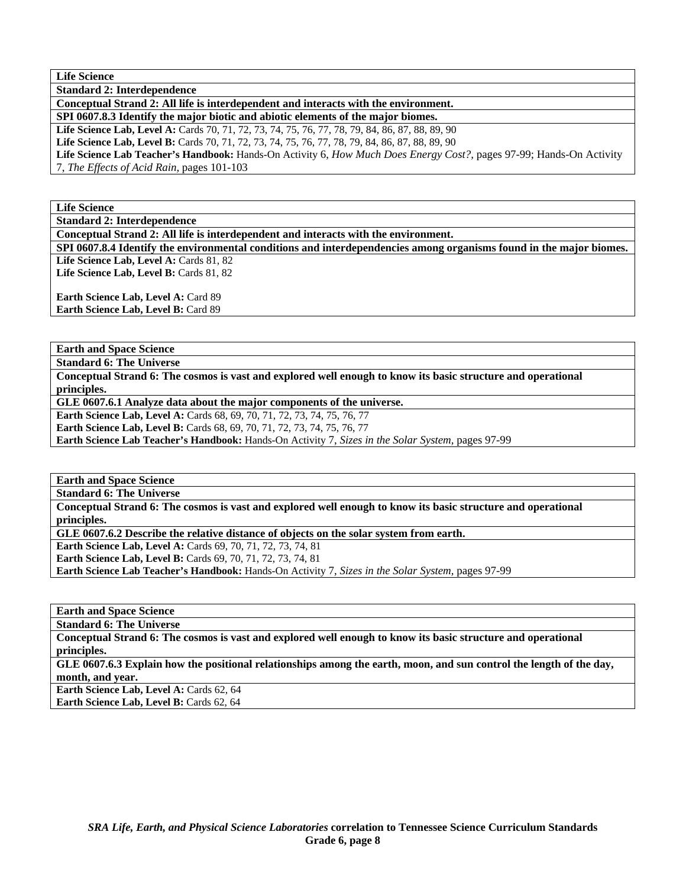**Standard 2: Interdependence** 

**Conceptual Strand 2: All life is interdependent and interacts with the environment.** 

**SPI 0607.8.3 Identify the major biotic and abiotic elements of the major biomes.** 

**Life Science Lab, Level A:** Cards 70, 71, 72, 73, 74, 75, 76, 77, 78, 79, 84, 86, 87, 88, 89, 90

**Life Science Lab, Level B:** Cards 70, 71, 72, 73, 74, 75, 76, 77, 78, 79, 84, 86, 87, 88, 89, 90

**Life Science Lab Teacher's Handbook:** Hands-On Activity 6, *How Much Does Energy Cost?,* pages 97-99; Hands-On Activity 7, *The Effects of Acid Rain,* pages 101-103

**Life Science** 

**Standard 2: Interdependence** 

**Conceptual Strand 2: All life is interdependent and interacts with the environment.** 

**SPI 0607.8.4 Identify the environmental conditions and interdependencies among organisms found in the major biomes.**  Life Science Lab, Level A: Cards 81, 82

Life Science Lab, Level B: Cards 81, 82

**Earth Science Lab, Level A: Card 89 Earth Science Lab, Level B:** Card 89

**Earth and Space Science** 

**Standard 6: The Universe** 

**Conceptual Strand 6: The cosmos is vast and explored well enough to know its basic structure and operational principles.** 

**GLE 0607.6.1 Analyze data about the major components of the universe.** 

**Earth Science Lab, Level A:** Cards 68, 69, 70, 71, 72, 73, 74, 75, 76, 77

**Earth Science Lab, Level B:** Cards 68, 69, 70, 71, 72, 73, 74, 75, 76, 77

**Earth Science Lab Teacher's Handbook:** Hands-On Activity 7, *Sizes in the Solar System,* pages 97-99

**Earth and Space Science** 

**Standard 6: The Universe** 

**Conceptual Strand 6: The cosmos is vast and explored well enough to know its basic structure and operational principles.** 

**GLE 0607.6.2 Describe the relative distance of objects on the solar system from earth.** 

**Earth Science Lab, Level A:** Cards 69, 70, 71, 72, 73, 74, 81

**Earth Science Lab, Level B:** Cards 69, 70, 71, 72, 73, 74, 81

**Earth Science Lab Teacher's Handbook:** Hands-On Activity 7, *Sizes in the Solar System,* pages 97-99

**Earth and Space Science** 

**Standard 6: The Universe** 

**Conceptual Strand 6: The cosmos is vast and explored well enough to know its basic structure and operational principles.** 

**GLE 0607.6.3 Explain how the positional relationships among the earth, moon, and sun control the length of the day, month, and year.** 

Earth Science Lab, Level A: Cards 62, 64

Earth Science Lab, Level B: Cards 62, 64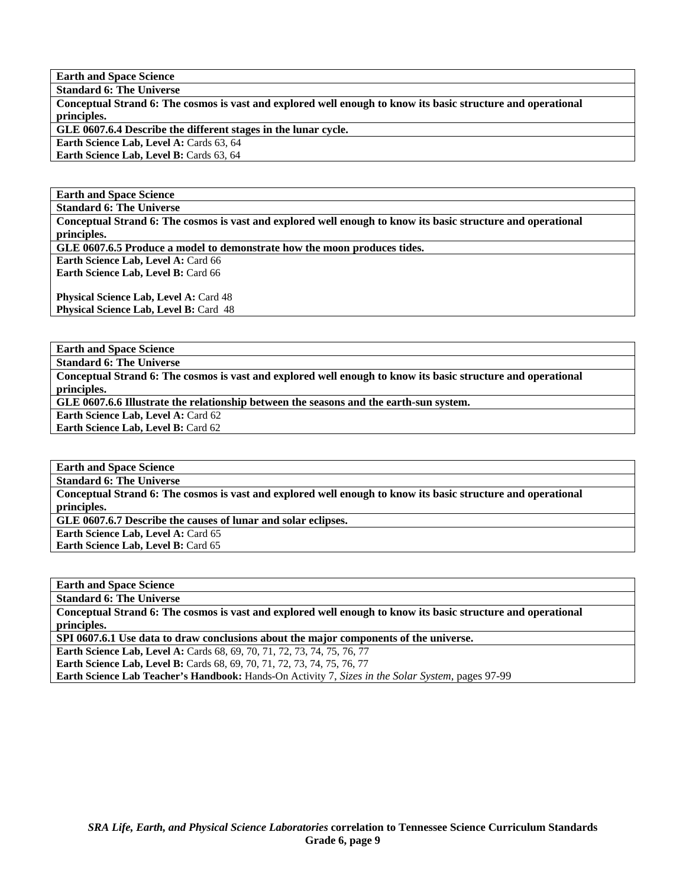**Standard 6: The Universe** 

**Conceptual Strand 6: The cosmos is vast and explored well enough to know its basic structure and operational principles.** 

**GLE 0607.6.4 Describe the different stages in the lunar cycle.** 

**Earth Science Lab, Level A: Cards 63, 64** Earth Science Lab, Level B: Cards 63, 64

#### **Earth and Space Science**

**Standard 6: The Universe** 

**Conceptual Strand 6: The cosmos is vast and explored well enough to know its basic structure and operational principles.** 

**GLE 0607.6.5 Produce a model to demonstrate how the moon produces tides.** 

**Earth Science Lab, Level A: Card 66 Earth Science Lab, Level B:** Card 66

**Physical Science Lab, Level A: Card 48 Physical Science Lab, Level B: Card 48** 

**Earth and Space Science** 

**Standard 6: The Universe** 

**Conceptual Strand 6: The cosmos is vast and explored well enough to know its basic structure and operational principles.** 

**GLE 0607.6.6 Illustrate the relationship between the seasons and the earth-sun system.** 

**Earth Science Lab, Level A: Card 62** 

**Earth Science Lab, Level B: Card 62** 

**Earth and Space Science** 

**Standard 6: The Universe** 

**Conceptual Strand 6: The cosmos is vast and explored well enough to know its basic structure and operational principles.** 

**GLE 0607.6.7 Describe the causes of lunar and solar eclipses.** 

**Earth Science Lab, Level A: Card 65** 

**Earth Science Lab, Level B: Card 65** 

**Earth and Space Science** 

**Standard 6: The Universe** 

**Conceptual Strand 6: The cosmos is vast and explored well enough to know its basic structure and operational principles.** 

**SPI 0607.6.1 Use data to draw conclusions about the major components of the universe.** 

**Earth Science Lab, Level A: Cards 68, 69, 70, 71, 72, 73, 74, 75, 76, 77 Earth Science Lab, Level B:** Cards 68, 69, 70, 71, 72, 73, 74, 75, 76, 77 **Earth Science Lab Teacher's Handbook:** Hands-On Activity 7, *Sizes in the Solar System,* pages 97-99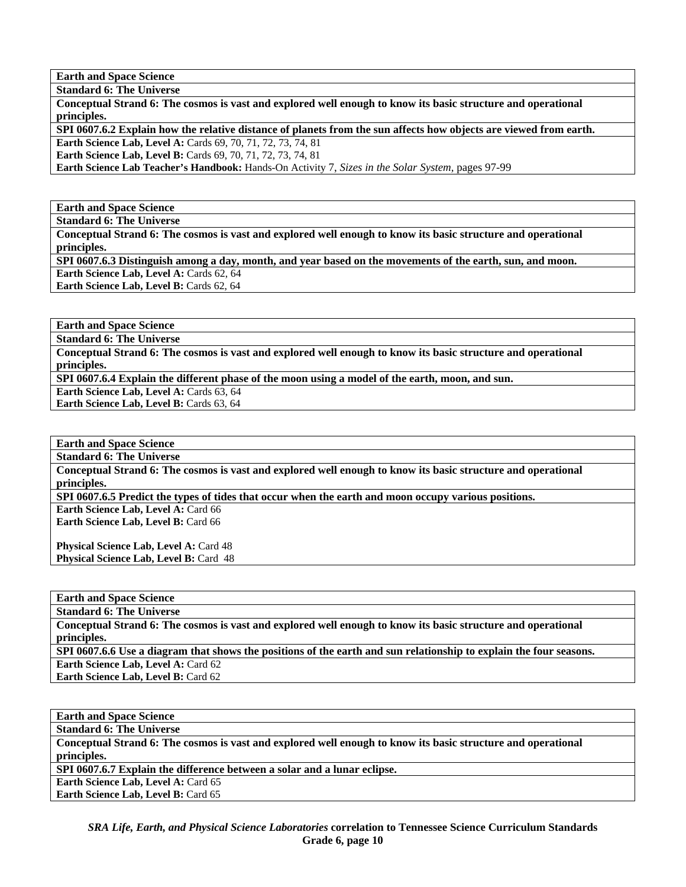**Standard 6: The Universe** 

**Conceptual Strand 6: The cosmos is vast and explored well enough to know its basic structure and operational principles.** 

**SPI 0607.6.2 Explain how the relative distance of planets from the sun affects how objects are viewed from earth.** 

**Earth Science Lab, Level A: Cards 69, 70, 71, 72, 73, 74, 81** 

**Earth Science Lab, Level B:** Cards 69, 70, 71, 72, 73, 74, 81

**Earth Science Lab Teacher's Handbook:** Hands-On Activity 7, *Sizes in the Solar System,* pages 97-99

**Earth and Space Science** 

**Standard 6: The Universe** 

**Conceptual Strand 6: The cosmos is vast and explored well enough to know its basic structure and operational principles.** 

**SPI 0607.6.3 Distinguish among a day, month, and year based on the movements of the earth, sun, and moon.**  Earth Science Lab, Level A: Cards 62, 64

**Earth Science Lab, Level B: Cards 62, 64** 

**Earth and Space Science** 

**Standard 6: The Universe** 

**Conceptual Strand 6: The cosmos is vast and explored well enough to know its basic structure and operational principles.** 

**SPI 0607.6.4 Explain the different phase of the moon using a model of the earth, moon, and sun.** 

Earth Science Lab, Level A: Cards 63, 64

Earth Science Lab, Level B: Cards 63, 64

**Earth and Space Science** 

**Standard 6: The Universe** 

**Conceptual Strand 6: The cosmos is vast and explored well enough to know its basic structure and operational principles.** 

**SPI 0607.6.5 Predict the types of tides that occur when the earth and moon occupy various positions.** 

**Earth Science Lab, Level A: Card 66 Earth Science Lab, Level B:** Card 66

**Physical Science Lab, Level A: Card 48 Physical Science Lab, Level B: Card 48** 

**Earth and Space Science** 

**Standard 6: The Universe** 

**Conceptual Strand 6: The cosmos is vast and explored well enough to know its basic structure and operational principles.** 

**SPI 0607.6.6 Use a diagram that shows the positions of the earth and sun relationship to explain the four seasons. Earth Science Lab, Level A: Card 62** 

**Earth Science Lab, Level B:** Card 62

**Earth and Space Science** 

**Standard 6: The Universe** 

**Conceptual Strand 6: The cosmos is vast and explored well enough to know its basic structure and operational principles.** 

**SPI 0607.6.7 Explain the difference between a solar and a lunar eclipse.** 

Earth Science Lab, Level A: Card 65 **Earth Science Lab, Level B:** Card 65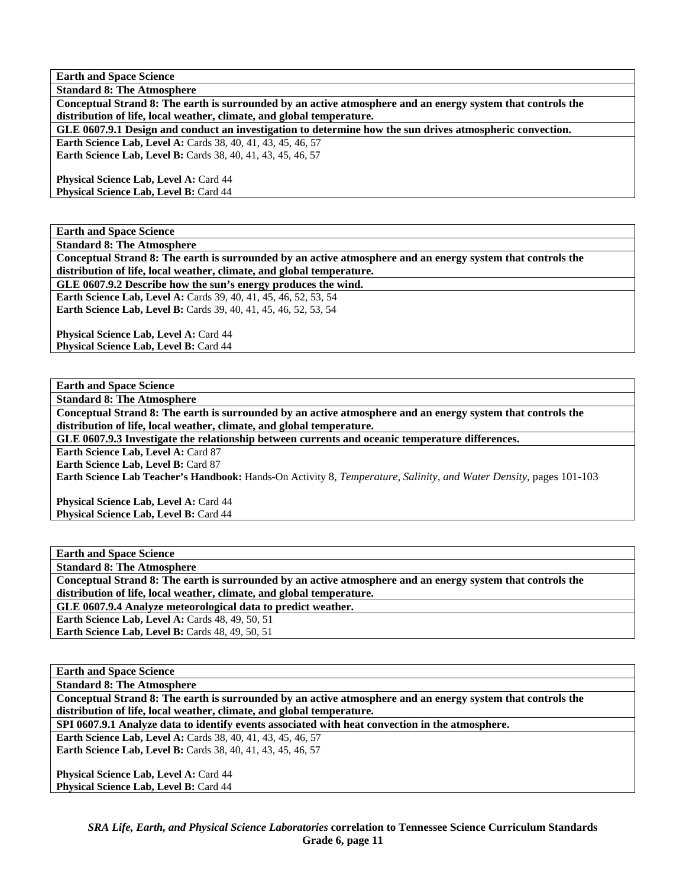**Standard 8: The Atmosphere Conceptual Strand 8: The earth is surrounded by an active atmosphere and an energy system that controls the distribution of life, local weather, climate, and global temperature.** 

**GLE 0607.9.1 Design and conduct an investigation to determine how the sun drives atmospheric convection.** 

**Earth Science Lab, Level A: Cards 38, 40, 41, 43, 45, 46, 57 Earth Science Lab, Level B:** Cards 38, 40, 41, 43, 45, 46, 57

Physical Science Lab, Level A: Card 44 Physical Science Lab, Level B: Card 44

**Earth and Space Science** 

**Standard 8: The Atmosphere** 

**Conceptual Strand 8: The earth is surrounded by an active atmosphere and an energy system that controls the distribution of life, local weather, climate, and global temperature.** 

**GLE 0607.9.2 Describe how the sun's energy produces the wind.** 

**Earth Science Lab, Level A:** Cards 39, 40, 41, 45, 46, 52, 53, 54 **Earth Science Lab, Level B:** Cards 39, 40, 41, 45, 46, 52, 53, 54

Physical Science Lab, Level A: Card 44 **Physical Science Lab, Level B:** Card 44

**Earth and Space Science** 

**Standard 8: The Atmosphere** 

**Conceptual Strand 8: The earth is surrounded by an active atmosphere and an energy system that controls the distribution of life, local weather, climate, and global temperature.** 

**GLE 0607.9.3 Investigate the relationship between currents and oceanic temperature differences.** 

**Earth Science Lab, Level A: Card 87** 

**Earth Science Lab, Level B: Card 87** 

**Earth Science Lab Teacher's Handbook:** Hands-On Activity 8, *Temperature, Salinity, and Water Density,* pages 101-103

Physical Science Lab, Level A: Card 44 **Physical Science Lab, Level B: Card 44** 

**Earth and Space Science** 

**Standard 8: The Atmosphere** 

**Conceptual Strand 8: The earth is surrounded by an active atmosphere and an energy system that controls the distribution of life, local weather, climate, and global temperature.** 

**GLE 0607.9.4 Analyze meteorological data to predict weather.** 

**Earth Science Lab, Level A: Cards 48, 49, 50, 51** 

**Earth Science Lab, Level B: Cards 48, 49, 50, 51** 

**Earth and Space Science** 

**Standard 8: The Atmosphere** 

**Conceptual Strand 8: The earth is surrounded by an active atmosphere and an energy system that controls the distribution of life, local weather, climate, and global temperature.** 

**SPI 0607.9.1 Analyze data to identify events associated with heat convection in the atmosphere.** 

**Earth Science Lab, Level A:** Cards 38, 40, 41, 43, 45, 46, 57 **Earth Science Lab, Level B:** Cards 38, 40, 41, 43, 45, 46, 57

Physical Science Lab, Level A: Card 44 **Physical Science Lab, Level B: Card 44**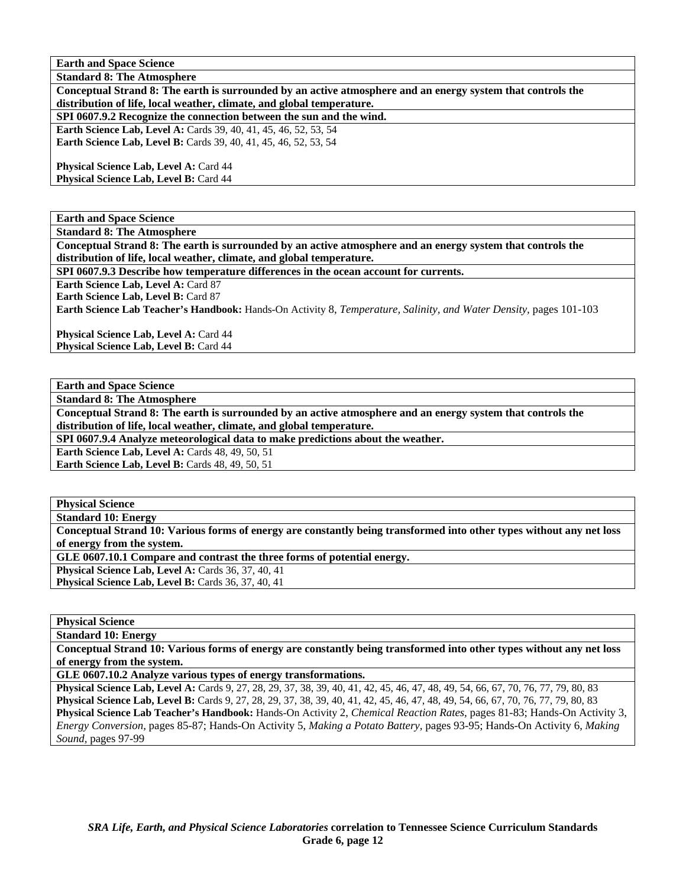**Standard 8: The Atmosphere** 

**Conceptual Strand 8: The earth is surrounded by an active atmosphere and an energy system that controls the distribution of life, local weather, climate, and global temperature.** 

**SPI 0607.9.2 Recognize the connection between the sun and the wind.** 

**Earth Science Lab, Level A:** Cards 39, 40, 41, 45, 46, 52, 53, 54 **Earth Science Lab, Level B:** Cards 39, 40, 41, 45, 46, 52, 53, 54

Physical Science Lab, Level A: Card 44 Physical Science Lab, Level B: Card 44

**Earth and Space Science** 

**Standard 8: The Atmosphere** 

**Conceptual Strand 8: The earth is surrounded by an active atmosphere and an energy system that controls the distribution of life, local weather, climate, and global temperature.** 

**SPI 0607.9.3 Describe how temperature differences in the ocean account for currents.** 

**Earth Science Lab, Level A: Card 87** 

**Earth Science Lab, Level B:** Card 87

**Earth Science Lab Teacher's Handbook:** Hands-On Activity 8, *Temperature, Salinity, and Water Density,* pages 101-103

Physical Science Lab, Level A: Card 44 **Physical Science Lab, Level B:** Card 44

**Earth and Space Science** 

**Standard 8: The Atmosphere** 

**Conceptual Strand 8: The earth is surrounded by an active atmosphere and an energy system that controls the distribution of life, local weather, climate, and global temperature.** 

**SPI 0607.9.4 Analyze meteorological data to make predictions about the weather.** 

**Earth Science Lab, Level A: Cards 48, 49, 50, 51** 

**Earth Science Lab, Level B: Cards 48, 49, 50, 51** 

**Physical Science** 

**Standard 10: Energy** 

**Conceptual Strand 10: Various forms of energy are constantly being transformed into other types without any net loss of energy from the system.** 

**GLE 0607.10.1 Compare and contrast the three forms of potential energy.** 

**Physical Science Lab, Level A: Cards 36, 37, 40, 41** 

**Physical Science Lab, Level B: Cards 36, 37, 40, 41** 

**Physical Science** 

**Standard 10: Energy** 

**Conceptual Strand 10: Various forms of energy are constantly being transformed into other types without any net loss of energy from the system.** 

**GLE 0607.10.2 Analyze various types of energy transformations.** 

**Physical Science Lab, Level A:** Cards 9, 27, 28, 29, 37, 38, 39, 40, 41, 42, 45, 46, 47, 48, 49, 54, 66, 67, 70, 76, 77, 79, 80, 83 **Physical Science Lab, Level B:** Cards 9, 27, 28, 29, 37, 38, 39, 40, 41, 42, 45, 46, 47, 48, 49, 54, 66, 67, 70, 76, 77, 79, 80, 83 **Physical Science Lab Teacher's Handbook:** Hands-On Activity 2, *Chemical Reaction Rates,* pages 81-83; Hands-On Activity 3, *Energy Conversion,* pages 85-87; Hands-On Activity 5, *Making a Potato Battery,* pages 93-95; Hands-On Activity 6, *Making Sound,* pages 97-99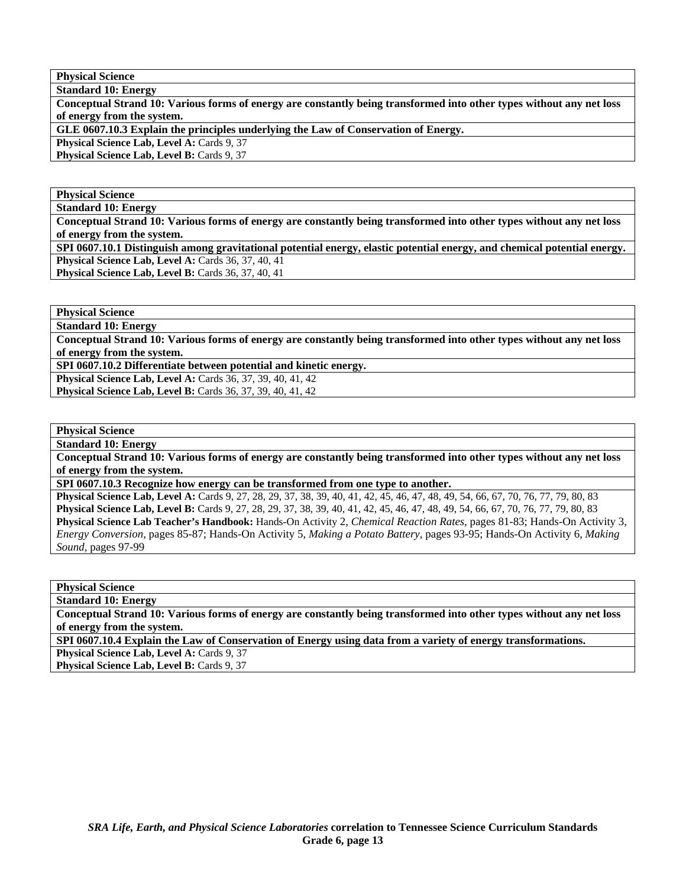**Physical Science Standard 10: Energy** 

**Conceptual Strand 10: Various forms of energy are constantly being transformed into other types without any net loss of energy from the system.** 

**GLE 0607.10.3 Explain the principles underlying the Law of Conservation of Energy.** 

**Physical Science Lab, Level A: Cards 9, 37** 

Physical Science Lab, Level B: Cards 9, 37

#### **Physical Science**

**Standard 10: Energy** 

**Conceptual Strand 10: Various forms of energy are constantly being transformed into other types without any net loss of energy from the system.** 

**SPI 0607.10.1 Distinguish among gravitational potential energy, elastic potential energy, and chemical potential energy. Physical Science Lab, Level A: Cards 36, 37, 40, 41 Physical Science Lab, Level B:** Cards 36, 37, 40, 41

**Physical Science** 

**Standard 10: Energy** 

**Conceptual Strand 10: Various forms of energy are constantly being transformed into other types without any net loss of energy from the system.** 

**SPI 0607.10.2 Differentiate between potential and kinetic energy.** 

**Physical Science Lab, Level A: Cards 36, 37, 39, 40, 41, 42 Physical Science Lab, Level B:** Cards 36, 37, 39, 40, 41, 42

**Physical Science** 

**Standard 10: Energy** 

**Conceptual Strand 10: Various forms of energy are constantly being transformed into other types without any net loss of energy from the system.** 

**SPI 0607.10.3 Recognize how energy can be transformed from one type to another.** 

**Physical Science Lab, Level A:** Cards 9, 27, 28, 29, 37, 38, 39, 40, 41, 42, 45, 46, 47, 48, 49, 54, 66, 67, 70, 76, 77, 79, 80, 83 **Physical Science Lab, Level B:** Cards 9, 27, 28, 29, 37, 38, 39, 40, 41, 42, 45, 46, 47, 48, 49, 54, 66, 67, 70, 76, 77, 79, 80, 83 **Physical Science Lab Teacher's Handbook:** Hands-On Activity 2, *Chemical Reaction Rates,* pages 81-83; Hands-On Activity 3, *Energy Conversion,* pages 85-87; Hands-On Activity 5, *Making a Potato Battery,* pages 93-95; Hands-On Activity 6, *Making Sound,* pages 97-99

**Physical Science** 

**Standard 10: Energy** 

**Conceptual Strand 10: Various forms of energy are constantly being transformed into other types without any net loss of energy from the system.** 

**SPI 0607.10.4 Explain the Law of Conservation of Energy using data from a variety of energy transformations.** 

Physical Science Lab, Level A: Cards 9, 37

Physical Science Lab, Level B: Cards 9, 37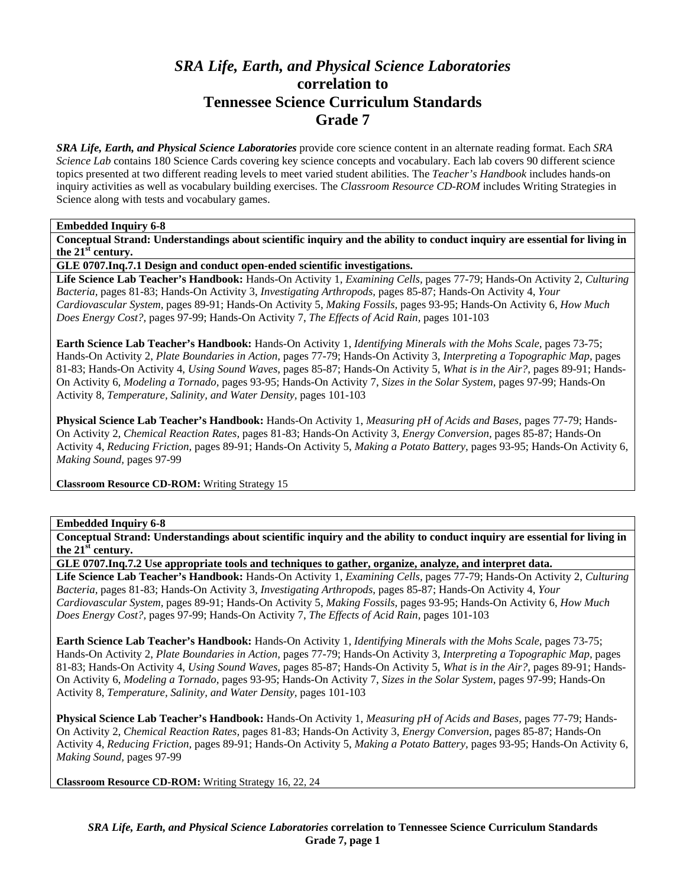# *SRA Life, Earth, and Physical Science Laboratories*  **correlation to Tennessee Science Curriculum Standards Grade 7**

*SRA Life, Earth, and Physical Science Laboratories* provide core science content in an alternate reading format. Each *SRA Science Lab* contains 180 Science Cards covering key science concepts and vocabulary. Each lab covers 90 different science topics presented at two different reading levels to meet varied student abilities. The *Teacher's Handbook* includes hands-on inquiry activities as well as vocabulary building exercises. The *Classroom Resource CD-ROM* includes Writing Strategies in Science along with tests and vocabulary games.

#### **Embedded Inquiry 6-8**

**Conceptual Strand: Understandings about scientific inquiry and the ability to conduct inquiry are essential for living in the 21st century.** 

**GLE 0707.Inq.7.1 Design and conduct open-ended scientific investigations.** 

**Life Science Lab Teacher's Handbook:** Hands-On Activity 1, *Examining Cells,* pages 77-79; Hands-On Activity 2, *Culturing Bacteria,* pages 81-83; Hands-On Activity 3, *Investigating Arthropods,* pages 85-87; Hands-On Activity 4, *Your Cardiovascular System,* pages 89-91; Hands-On Activity 5, *Making Fossils,* pages 93-95; Hands-On Activity 6, *How Much Does Energy Cost?,* pages 97-99; Hands-On Activity 7, *The Effects of Acid Rain,* pages 101-103

**Earth Science Lab Teacher's Handbook:** Hands-On Activity 1, *Identifying Minerals with the Mohs Scale,* pages 73-75; Hands-On Activity 2, *Plate Boundaries in Action,* pages 77-79; Hands-On Activity 3, *Interpreting a Topographic Map,* pages 81-83; Hands-On Activity 4, *Using Sound Waves,* pages 85-87; Hands-On Activity 5, *What is in the Air?,* pages 89-91; Hands-On Activity 6, *Modeling a Tornado,* pages 93-95; Hands-On Activity 7, *Sizes in the Solar System,* pages 97-99; Hands-On Activity 8, *Temperature, Salinity, and Water Density,* pages 101-103

**Physical Science Lab Teacher's Handbook:** Hands-On Activity 1, *Measuring pH of Acids and Bases,* pages 77-79; Hands-On Activity 2, *Chemical Reaction Rates,* pages 81-83; Hands-On Activity 3, *Energy Conversion,* pages 85-87; Hands-On Activity 4, *Reducing Friction,* pages 89-91; Hands-On Activity 5, *Making a Potato Battery,* pages 93-95; Hands-On Activity 6, *Making Sound,* pages 97-99

**Classroom Resource CD-ROM:** Writing Strategy 15

## **Embedded Inquiry 6-8**

**Conceptual Strand: Understandings about scientific inquiry and the ability to conduct inquiry are essential for living in the 21st century.** 

**GLE 0707.Inq.7.2 Use appropriate tools and techniques to gather, organize, analyze, and interpret data.** 

**Life Science Lab Teacher's Handbook:** Hands-On Activity 1, *Examining Cells,* pages 77-79; Hands-On Activity 2, *Culturing Bacteria,* pages 81-83; Hands-On Activity 3, *Investigating Arthropods,* pages 85-87; Hands-On Activity 4, *Your Cardiovascular System,* pages 89-91; Hands-On Activity 5, *Making Fossils,* pages 93-95; Hands-On Activity 6, *How Much Does Energy Cost?,* pages 97-99; Hands-On Activity 7, *The Effects of Acid Rain,* pages 101-103

**Earth Science Lab Teacher's Handbook:** Hands-On Activity 1, *Identifying Minerals with the Mohs Scale,* pages 73-75; Hands-On Activity 2, *Plate Boundaries in Action,* pages 77-79; Hands-On Activity 3, *Interpreting a Topographic Map,* pages 81-83; Hands-On Activity 4, *Using Sound Waves,* pages 85-87; Hands-On Activity 5, *What is in the Air?,* pages 89-91; Hands-On Activity 6, *Modeling a Tornado,* pages 93-95; Hands-On Activity 7, *Sizes in the Solar System,* pages 97-99; Hands-On Activity 8, *Temperature, Salinity, and Water Density,* pages 101-103

**Physical Science Lab Teacher's Handbook:** Hands-On Activity 1, *Measuring pH of Acids and Bases,* pages 77-79; Hands-On Activity 2, *Chemical Reaction Rates,* pages 81-83; Hands-On Activity 3, *Energy Conversion,* pages 85-87; Hands-On Activity 4, *Reducing Friction,* pages 89-91; Hands-On Activity 5, *Making a Potato Battery,* pages 93-95; Hands-On Activity 6, *Making Sound,* pages 97-99

**Classroom Resource CD-ROM:** Writing Strategy 16, 22, 24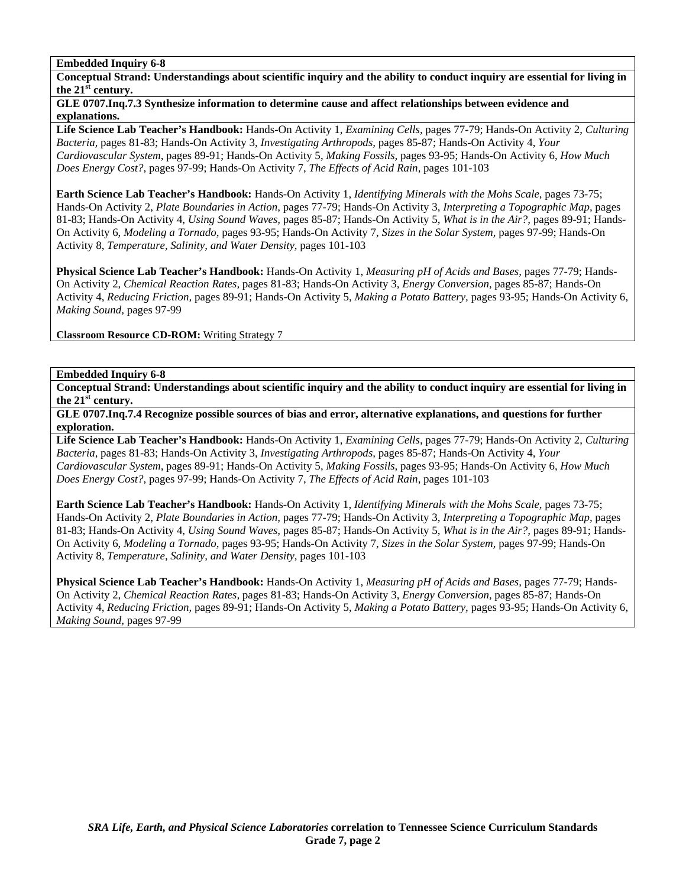**Conceptual Strand: Understandings about scientific inquiry and the ability to conduct inquiry are essential for living in the 21st century.** 

## **GLE 0707.Inq.7.3 Synthesize information to determine cause and affect relationships between evidence and explanations.**

**Life Science Lab Teacher's Handbook:** Hands-On Activity 1, *Examining Cells,* pages 77-79; Hands-On Activity 2, *Culturing Bacteria,* pages 81-83; Hands-On Activity 3, *Investigating Arthropods,* pages 85-87; Hands-On Activity 4, *Your Cardiovascular System,* pages 89-91; Hands-On Activity 5, *Making Fossils,* pages 93-95; Hands-On Activity 6, *How Much Does Energy Cost?,* pages 97-99; Hands-On Activity 7, *The Effects of Acid Rain,* pages 101-103

**Earth Science Lab Teacher's Handbook:** Hands-On Activity 1, *Identifying Minerals with the Mohs Scale,* pages 73-75; Hands-On Activity 2, *Plate Boundaries in Action,* pages 77-79; Hands-On Activity 3, *Interpreting a Topographic Map,* pages 81-83; Hands-On Activity 4, *Using Sound Waves,* pages 85-87; Hands-On Activity 5, *What is in the Air?,* pages 89-91; Hands-On Activity 6, *Modeling a Tornado,* pages 93-95; Hands-On Activity 7, *Sizes in the Solar System,* pages 97-99; Hands-On Activity 8, *Temperature, Salinity, and Water Density,* pages 101-103

**Physical Science Lab Teacher's Handbook:** Hands-On Activity 1, *Measuring pH of Acids and Bases,* pages 77-79; Hands-On Activity 2, *Chemical Reaction Rates,* pages 81-83; Hands-On Activity 3, *Energy Conversion,* pages 85-87; Hands-On Activity 4, *Reducing Friction,* pages 89-91; Hands-On Activity 5, *Making a Potato Battery,* pages 93-95; Hands-On Activity 6, *Making Sound,* pages 97-99

**Classroom Resource CD-ROM:** Writing Strategy 7

# **Embedded Inquiry 6-8**

**Conceptual Strand: Understandings about scientific inquiry and the ability to conduct inquiry are essential for living in the 21st century.** 

**GLE 0707.Inq.7.4 Recognize possible sources of bias and error, alternative explanations, and questions for further exploration.** 

**Life Science Lab Teacher's Handbook:** Hands-On Activity 1, *Examining Cells,* pages 77-79; Hands-On Activity 2, *Culturing Bacteria,* pages 81-83; Hands-On Activity 3, *Investigating Arthropods,* pages 85-87; Hands-On Activity 4, *Your Cardiovascular System,* pages 89-91; Hands-On Activity 5, *Making Fossils,* pages 93-95; Hands-On Activity 6, *How Much Does Energy Cost?,* pages 97-99; Hands-On Activity 7, *The Effects of Acid Rain,* pages 101-103

**Earth Science Lab Teacher's Handbook:** Hands-On Activity 1, *Identifying Minerals with the Mohs Scale,* pages 73-75; Hands-On Activity 2, *Plate Boundaries in Action,* pages 77-79; Hands-On Activity 3, *Interpreting a Topographic Map,* pages 81-83; Hands-On Activity 4, *Using Sound Waves,* pages 85-87; Hands-On Activity 5, *What is in the Air?,* pages 89-91; Hands-On Activity 6, *Modeling a Tornado,* pages 93-95; Hands-On Activity 7, *Sizes in the Solar System,* pages 97-99; Hands-On Activity 8, *Temperature, Salinity, and Water Density,* pages 101-103

**Physical Science Lab Teacher's Handbook:** Hands-On Activity 1, *Measuring pH of Acids and Bases,* pages 77-79; Hands-On Activity 2, *Chemical Reaction Rates,* pages 81-83; Hands-On Activity 3, *Energy Conversion,* pages 85-87; Hands-On Activity 4, *Reducing Friction,* pages 89-91; Hands-On Activity 5, *Making a Potato Battery,* pages 93-95; Hands-On Activity 6, *Making Sound,* pages 97-99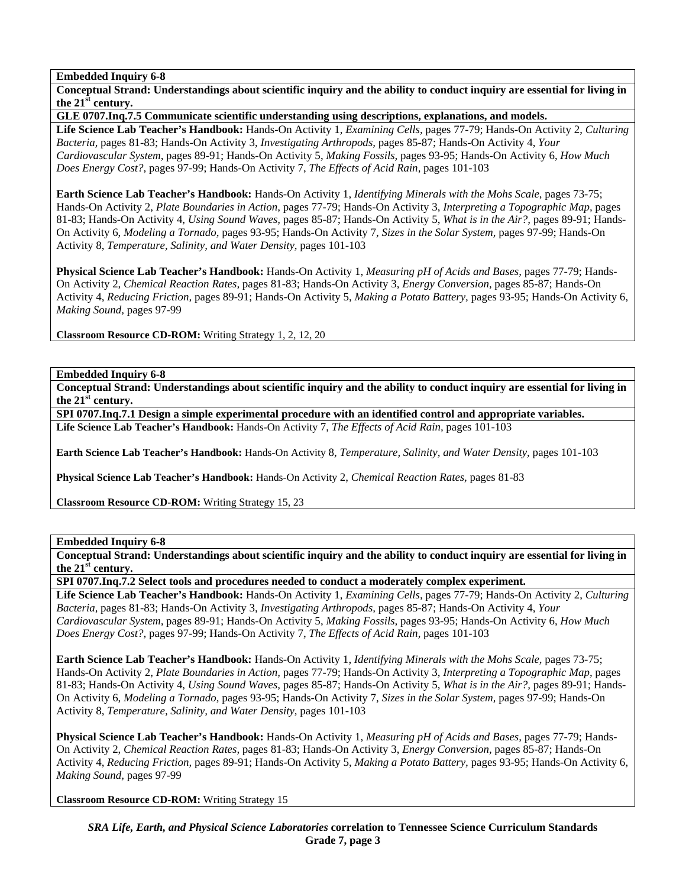**Conceptual Strand: Understandings about scientific inquiry and the ability to conduct inquiry are essential for living in the 21st century.** 

**GLE 0707.Inq.7.5 Communicate scientific understanding using descriptions, explanations, and models.** 

**Life Science Lab Teacher's Handbook:** Hands-On Activity 1, *Examining Cells,* pages 77-79; Hands-On Activity 2, *Culturing Bacteria,* pages 81-83; Hands-On Activity 3, *Investigating Arthropods,* pages 85-87; Hands-On Activity 4, *Your Cardiovascular System,* pages 89-91; Hands-On Activity 5, *Making Fossils,* pages 93-95; Hands-On Activity 6, *How Much Does Energy Cost?,* pages 97-99; Hands-On Activity 7, *The Effects of Acid Rain,* pages 101-103

**Earth Science Lab Teacher's Handbook:** Hands-On Activity 1, *Identifying Minerals with the Mohs Scale,* pages 73-75; Hands-On Activity 2, *Plate Boundaries in Action,* pages 77-79; Hands-On Activity 3, *Interpreting a Topographic Map,* pages 81-83; Hands-On Activity 4, *Using Sound Waves,* pages 85-87; Hands-On Activity 5, *What is in the Air?,* pages 89-91; Hands-On Activity 6, *Modeling a Tornado,* pages 93-95; Hands-On Activity 7, *Sizes in the Solar System,* pages 97-99; Hands-On Activity 8, *Temperature, Salinity, and Water Density,* pages 101-103

**Physical Science Lab Teacher's Handbook:** Hands-On Activity 1, *Measuring pH of Acids and Bases,* pages 77-79; Hands-On Activity 2, *Chemical Reaction Rates,* pages 81-83; Hands-On Activity 3, *Energy Conversion,* pages 85-87; Hands-On Activity 4, *Reducing Friction,* pages 89-91; Hands-On Activity 5, *Making a Potato Battery,* pages 93-95; Hands-On Activity 6, *Making Sound,* pages 97-99

**Classroom Resource CD-ROM:** Writing Strategy 1, 2, 12, 20

**Embedded Inquiry 6-8** 

**Conceptual Strand: Understandings about scientific inquiry and the ability to conduct inquiry are essential for living in the 21st century.** 

**SPI 0707.Inq.7.1 Design a simple experimental procedure with an identified control and appropriate variables. Life Science Lab Teacher's Handbook:** Hands-On Activity 7, *The Effects of Acid Rain,* pages 101-103

**Earth Science Lab Teacher's Handbook:** Hands-On Activity 8, *Temperature, Salinity, and Water Density,* pages 101-103

**Physical Science Lab Teacher's Handbook:** Hands-On Activity 2, *Chemical Reaction Rates,* pages 81-83

**Classroom Resource CD-ROM:** Writing Strategy 15, 23

## **Embedded Inquiry 6-8**

**Conceptual Strand: Understandings about scientific inquiry and the ability to conduct inquiry are essential for living in the 21st century.** 

**SPI 0707.Inq.7.2 Select tools and procedures needed to conduct a moderately complex experiment.** 

**Life Science Lab Teacher's Handbook:** Hands-On Activity 1, *Examining Cells,* pages 77-79; Hands-On Activity 2, *Culturing Bacteria,* pages 81-83; Hands-On Activity 3, *Investigating Arthropods,* pages 85-87; Hands-On Activity 4, *Your Cardiovascular System,* pages 89-91; Hands-On Activity 5, *Making Fossils,* pages 93-95; Hands-On Activity 6, *How Much Does Energy Cost?,* pages 97-99; Hands-On Activity 7, *The Effects of Acid Rain,* pages 101-103

**Earth Science Lab Teacher's Handbook:** Hands-On Activity 1, *Identifying Minerals with the Mohs Scale,* pages 73-75; Hands-On Activity 2, *Plate Boundaries in Action,* pages 77-79; Hands-On Activity 3, *Interpreting a Topographic Map,* pages 81-83; Hands-On Activity 4, *Using Sound Waves,* pages 85-87; Hands-On Activity 5, *What is in the Air?,* pages 89-91; Hands-On Activity 6, *Modeling a Tornado,* pages 93-95; Hands-On Activity 7, *Sizes in the Solar System,* pages 97-99; Hands-On Activity 8, *Temperature, Salinity, and Water Density,* pages 101-103

**Physical Science Lab Teacher's Handbook:** Hands-On Activity 1, *Measuring pH of Acids and Bases,* pages 77-79; Hands-On Activity 2, *Chemical Reaction Rates,* pages 81-83; Hands-On Activity 3, *Energy Conversion,* pages 85-87; Hands-On Activity 4, *Reducing Friction,* pages 89-91; Hands-On Activity 5, *Making a Potato Battery,* pages 93-95; Hands-On Activity 6, *Making Sound,* pages 97-99

**Classroom Resource CD-ROM:** Writing Strategy 15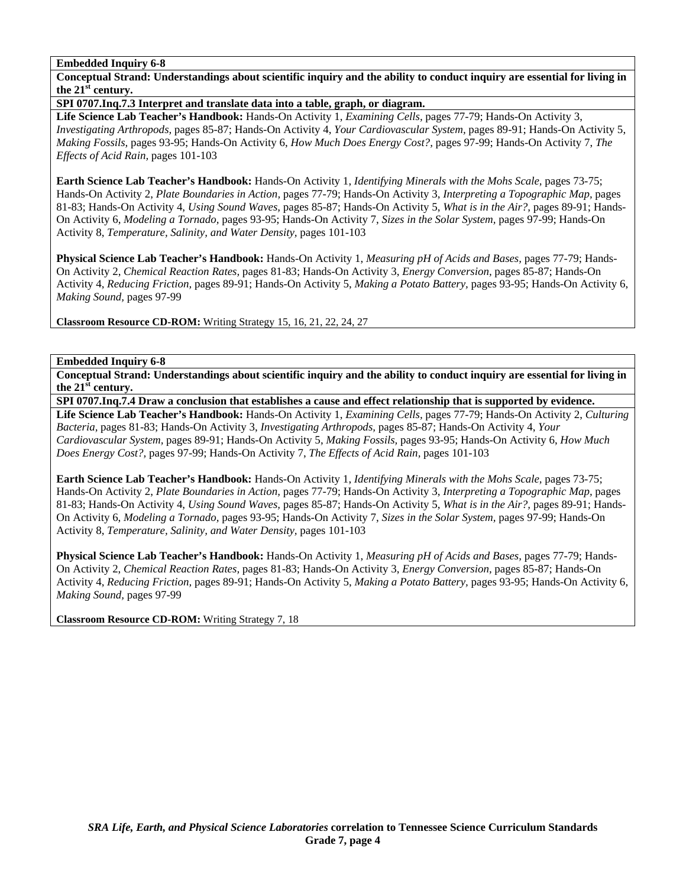**Conceptual Strand: Understandings about scientific inquiry and the ability to conduct inquiry are essential for living in the 21st century.** 

**SPI 0707.Inq.7.3 Interpret and translate data into a table, graph, or diagram.** 

**Life Science Lab Teacher's Handbook:** Hands-On Activity 1, *Examining Cells,* pages 77-79; Hands-On Activity 3, *Investigating Arthropods,* pages 85-87; Hands-On Activity 4, *Your Cardiovascular System,* pages 89-91; Hands-On Activity 5, *Making Fossils,* pages 93-95; Hands-On Activity 6, *How Much Does Energy Cost?,* pages 97-99; Hands-On Activity 7, *The Effects of Acid Rain,* pages 101-103

**Earth Science Lab Teacher's Handbook:** Hands-On Activity 1, *Identifying Minerals with the Mohs Scale,* pages 73-75; Hands-On Activity 2, *Plate Boundaries in Action,* pages 77-79; Hands-On Activity 3, *Interpreting a Topographic Map,* pages 81-83; Hands-On Activity 4, *Using Sound Waves,* pages 85-87; Hands-On Activity 5, *What is in the Air?,* pages 89-91; Hands-On Activity 6, *Modeling a Tornado,* pages 93-95; Hands-On Activity 7, *Sizes in the Solar System,* pages 97-99; Hands-On Activity 8, *Temperature, Salinity, and Water Density,* pages 101-103

**Physical Science Lab Teacher's Handbook:** Hands-On Activity 1, *Measuring pH of Acids and Bases,* pages 77-79; Hands-On Activity 2, *Chemical Reaction Rates,* pages 81-83; Hands-On Activity 3, *Energy Conversion,* pages 85-87; Hands-On Activity 4, *Reducing Friction,* pages 89-91; Hands-On Activity 5, *Making a Potato Battery,* pages 93-95; Hands-On Activity 6, *Making Sound,* pages 97-99

**Classroom Resource CD-ROM:** Writing Strategy 15, 16, 21, 22, 24, 27

# **Embedded Inquiry 6-8**

**Conceptual Strand: Understandings about scientific inquiry and the ability to conduct inquiry are essential for living in the 21st century.** 

**SPI 0707.Inq.7.4 Draw a conclusion that establishes a cause and effect relationship that is supported by evidence.** 

**Life Science Lab Teacher's Handbook:** Hands-On Activity 1, *Examining Cells,* pages 77-79; Hands-On Activity 2, *Culturing Bacteria,* pages 81-83; Hands-On Activity 3, *Investigating Arthropods,* pages 85-87; Hands-On Activity 4, *Your Cardiovascular System,* pages 89-91; Hands-On Activity 5, *Making Fossils,* pages 93-95; Hands-On Activity 6, *How Much Does Energy Cost?,* pages 97-99; Hands-On Activity 7, *The Effects of Acid Rain,* pages 101-103

**Earth Science Lab Teacher's Handbook:** Hands-On Activity 1, *Identifying Minerals with the Mohs Scale,* pages 73-75; Hands-On Activity 2, *Plate Boundaries in Action,* pages 77-79; Hands-On Activity 3, *Interpreting a Topographic Map,* pages 81-83; Hands-On Activity 4, *Using Sound Waves,* pages 85-87; Hands-On Activity 5, *What is in the Air?,* pages 89-91; Hands-On Activity 6, *Modeling a Tornado,* pages 93-95; Hands-On Activity 7, *Sizes in the Solar System,* pages 97-99; Hands-On Activity 8, *Temperature, Salinity, and Water Density,* pages 101-103

**Physical Science Lab Teacher's Handbook:** Hands-On Activity 1, *Measuring pH of Acids and Bases,* pages 77-79; Hands-On Activity 2, *Chemical Reaction Rates,* pages 81-83; Hands-On Activity 3, *Energy Conversion,* pages 85-87; Hands-On Activity 4, *Reducing Friction,* pages 89-91; Hands-On Activity 5, *Making a Potato Battery,* pages 93-95; Hands-On Activity 6, *Making Sound,* pages 97-99

**Classroom Resource CD-ROM:** Writing Strategy 7, 18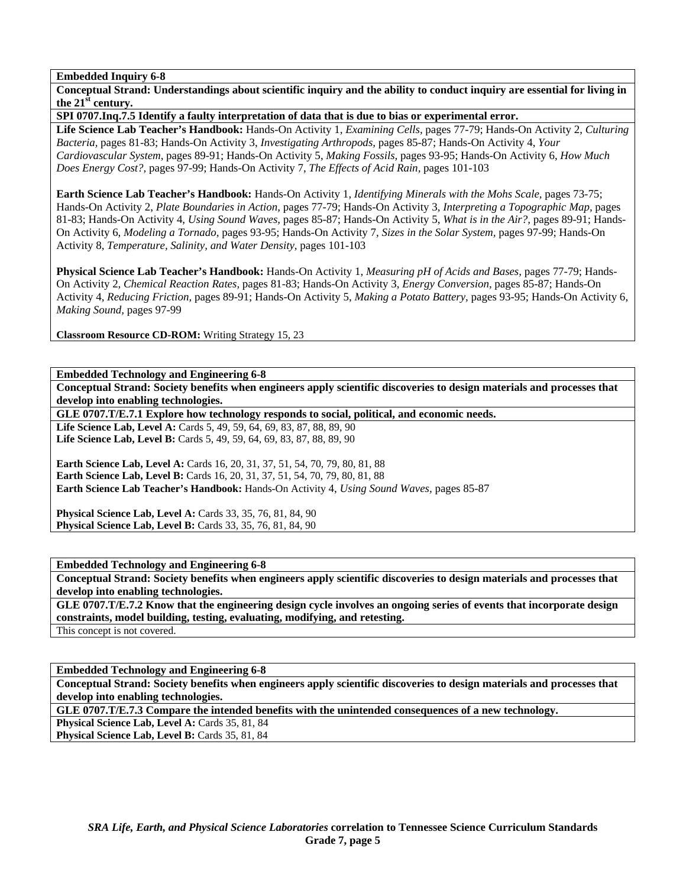**Conceptual Strand: Understandings about scientific inquiry and the ability to conduct inquiry are essential for living in the 21st century.** 

**SPI 0707.Inq.7.5 Identify a faulty interpretation of data that is due to bias or experimental error.** 

**Life Science Lab Teacher's Handbook:** Hands-On Activity 1, *Examining Cells,* pages 77-79; Hands-On Activity 2, *Culturing Bacteria,* pages 81-83; Hands-On Activity 3, *Investigating Arthropods,* pages 85-87; Hands-On Activity 4, *Your Cardiovascular System,* pages 89-91; Hands-On Activity 5, *Making Fossils,* pages 93-95; Hands-On Activity 6, *How Much Does Energy Cost?,* pages 97-99; Hands-On Activity 7, *The Effects of Acid Rain,* pages 101-103

**Earth Science Lab Teacher's Handbook:** Hands-On Activity 1, *Identifying Minerals with the Mohs Scale,* pages 73-75; Hands-On Activity 2, *Plate Boundaries in Action,* pages 77-79; Hands-On Activity 3, *Interpreting a Topographic Map,* pages 81-83; Hands-On Activity 4, *Using Sound Waves,* pages 85-87; Hands-On Activity 5, *What is in the Air?,* pages 89-91; Hands-On Activity 6, *Modeling a Tornado,* pages 93-95; Hands-On Activity 7, *Sizes in the Solar System,* pages 97-99; Hands-On Activity 8, *Temperature, Salinity, and Water Density,* pages 101-103

**Physical Science Lab Teacher's Handbook:** Hands-On Activity 1, *Measuring pH of Acids and Bases,* pages 77-79; Hands-On Activity 2, *Chemical Reaction Rates,* pages 81-83; Hands-On Activity 3, *Energy Conversion,* pages 85-87; Hands-On Activity 4, *Reducing Friction,* pages 89-91; Hands-On Activity 5, *Making a Potato Battery,* pages 93-95; Hands-On Activity 6, *Making Sound,* pages 97-99

**Classroom Resource CD-ROM:** Writing Strategy 15, 23

**Embedded Technology and Engineering 6-8** 

**Conceptual Strand: Society benefits when engineers apply scientific discoveries to design materials and processes that develop into enabling technologies.** 

**GLE 0707.T/E.7.1 Explore how technology responds to social, political, and economic needs.** 

Life Science Lab, Level A: Cards 5, 49, 59, 64, 69, 83, 87, 88, 89, 90 Life Science Lab, Level B: Cards 5, 49, 59, 64, 69, 83, 87, 88, 89, 90

**Earth Science Lab, Level A: Cards 16, 20, 31, 37, 51, 54, 70, 79, 80, 81, 88 Earth Science Lab, Level B:** Cards 16, 20, 31, 37, 51, 54, 70, 79, 80, 81, 88 **Earth Science Lab Teacher's Handbook:** Hands-On Activity 4, *Using Sound Waves,* pages 85-87

**Physical Science Lab, Level A: Cards 33, 35, 76, 81, 84, 90 Physical Science Lab, Level B:** Cards 33, 35, 76, 81, 84, 90

**Embedded Technology and Engineering 6-8** 

**Conceptual Strand: Society benefits when engineers apply scientific discoveries to design materials and processes that develop into enabling technologies.** 

**GLE 0707.T/E.7.2 Know that the engineering design cycle involves an ongoing series of events that incorporate design constraints, model building, testing, evaluating, modifying, and retesting.** 

This concept is not covered.

**Embedded Technology and Engineering 6-8 Conceptual Strand: Society benefits when engineers apply scientific discoveries to design materials and processes that develop into enabling technologies.** 

**GLE 0707.T/E.7.3 Compare the intended benefits with the unintended consequences of a new technology.** 

Physical Science Lab, Level A: Cards 35, 81, 84

Physical Science Lab, Level B: Cards 35, 81, 84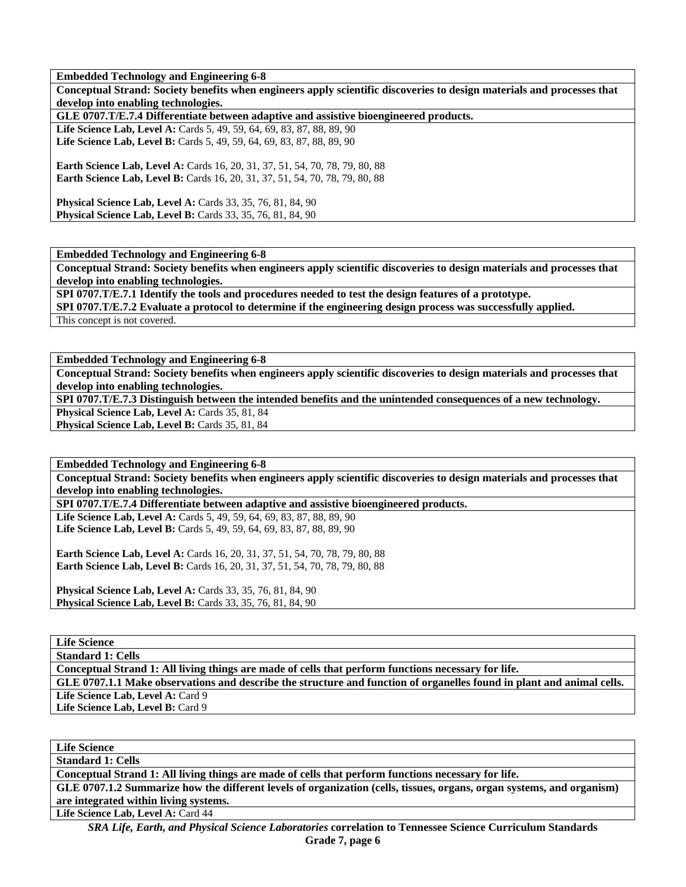**Embedded Technology and Engineering 6-8** 

**Conceptual Strand: Society benefits when engineers apply scientific discoveries to design materials and processes that develop into enabling technologies.** 

**GLE 0707.T/E.7.4 Differentiate between adaptive and assistive bioengineered products.** 

Life Science Lab, Level A: Cards 5, 49, 59, 64, 69, 83, 87, 88, 89, 90 Life Science Lab, Level B: Cards 5, 49, 59, 64, 69, 83, 87, 88, 89, 90

**Earth Science Lab, Level A: Cards 16, 20, 31, 37, 51, 54, 70, 78, 79, 80, 88 Earth Science Lab, Level B:** Cards 16, 20, 31, 37, 51, 54, 70, 78, 79, 80, 88

**Physical Science Lab, Level A: Cards 33, 35, 76, 81, 84, 90 Physical Science Lab, Level B:** Cards 33, 35, 76, 81, 84, 90

**Embedded Technology and Engineering 6-8** 

**Conceptual Strand: Society benefits when engineers apply scientific discoveries to design materials and processes that develop into enabling technologies.** 

**SPI 0707.T/E.7.1 Identify the tools and procedures needed to test the design features of a prototype.** 

**SPI 0707.T/E.7.2 Evaluate a protocol to determine if the engineering design process was successfully applied.** 

This concept is not covered.

**Embedded Technology and Engineering 6-8** 

**Conceptual Strand: Society benefits when engineers apply scientific discoveries to design materials and processes that develop into enabling technologies.** 

**SPI 0707.T/E.7.3 Distinguish between the intended benefits and the unintended consequences of a new technology.** 

Physical Science Lab, Level A: Cards 35, 81, 84 Physical Science Lab, Level B: Cards 35, 81, 84

**Embedded Technology and Engineering 6-8** 

**Conceptual Strand: Society benefits when engineers apply scientific discoveries to design materials and processes that develop into enabling technologies.** 

**SPI 0707.T/E.7.4 Differentiate between adaptive and assistive bioengineered products.** 

Life Science Lab, Level A: Cards 5, 49, 59, 64, 69, 83, 87, 88, 89, 90 Life Science Lab, Level B: Cards 5, 49, 59, 64, 69, 83, 87, 88, 89, 90

**Earth Science Lab, Level A: Cards 16, 20, 31, 37, 51, 54, 70, 78, 79, 80, 88 Earth Science Lab, Level B:** Cards 16, 20, 31, 37, 51, 54, 70, 78, 79, 80, 88

**Physical Science Lab, Level A: Cards 33, 35, 76, 81, 84, 90 Physical Science Lab, Level B:** Cards 33, 35, 76, 81, 84, 90

**Life Science** 

**Standard 1: Cells** 

**Conceptual Strand 1: All living things are made of cells that perform functions necessary for life.** 

**GLE 0707.1.1 Make observations and describe the structure and function of organelles found in plant and animal cells.**  Life Science Lab, Level A: Card 9

Life Science Lab, Level B: Card 9

**Life Science** 

**Standard 1: Cells** 

**Conceptual Strand 1: All living things are made of cells that perform functions necessary for life.** 

**GLE 0707.1.2 Summarize how the different levels of organization (cells, tissues, organs, organ systems, and organism) are integrated within living systems.** 

Life Science Lab, Level A: Card 44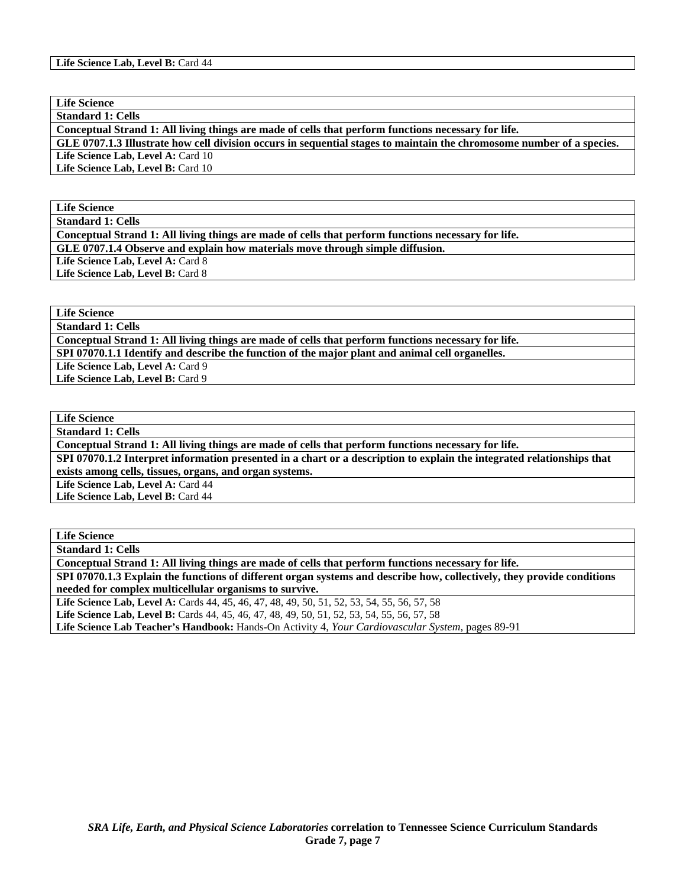**Standard 1: Cells** 

**Conceptual Strand 1: All living things are made of cells that perform functions necessary for life.** 

**GLE 0707.1.3 Illustrate how cell division occurs in sequential stages to maintain the chromosome number of a species.**  Life Science Lab, Level A: Card 10

Life Science Lab, Level B: Card 10

**Life Science** 

**Standard 1: Cells** 

**Conceptual Strand 1: All living things are made of cells that perform functions necessary for life. GLE 0707.1.4 Observe and explain how materials move through simple diffusion.** 

Life Science Lab, Level A: Card 8 Life Science Lab, Level B: Card 8

**Life Science** 

**Standard 1: Cells** 

**Conceptual Strand 1: All living things are made of cells that perform functions necessary for life. SPI 07070.1.1 Identify and describe the function of the major plant and animal cell organelles.** 

Life Science Lab, Level A: Card 9

Life Science Lab, Level B: Card 9

**Life Science** 

**Standard 1: Cells** 

**Conceptual Strand 1: All living things are made of cells that perform functions necessary for life.** 

**SPI 07070.1.2 Interpret information presented in a chart or a description to explain the integrated relationships that exists among cells, tissues, organs, and organ systems.** 

Life Science Lab, Level A: Card 44

**Life Science Lab, Level B:** Card 44

**Life Science Standard 1: Cells** 

**Conceptual Strand 1: All living things are made of cells that perform functions necessary for life.** 

**SPI 07070.1.3 Explain the functions of different organ systems and describe how, collectively, they provide conditions needed for complex multicellular organisms to survive.** 

Life Science Lab, Level A: Cards 44, 45, 46, 47, 48, 49, 50, 51, 52, 53, 54, 55, 56, 57, 58

Life Science Lab, Level B: Cards 44, 45, 46, 47, 48, 49, 50, 51, 52, 53, 54, 55, 56, 57, 58

**Life Science Lab Teacher's Handbook:** Hands-On Activity 4, *Your Cardiovascular System,* pages 89-91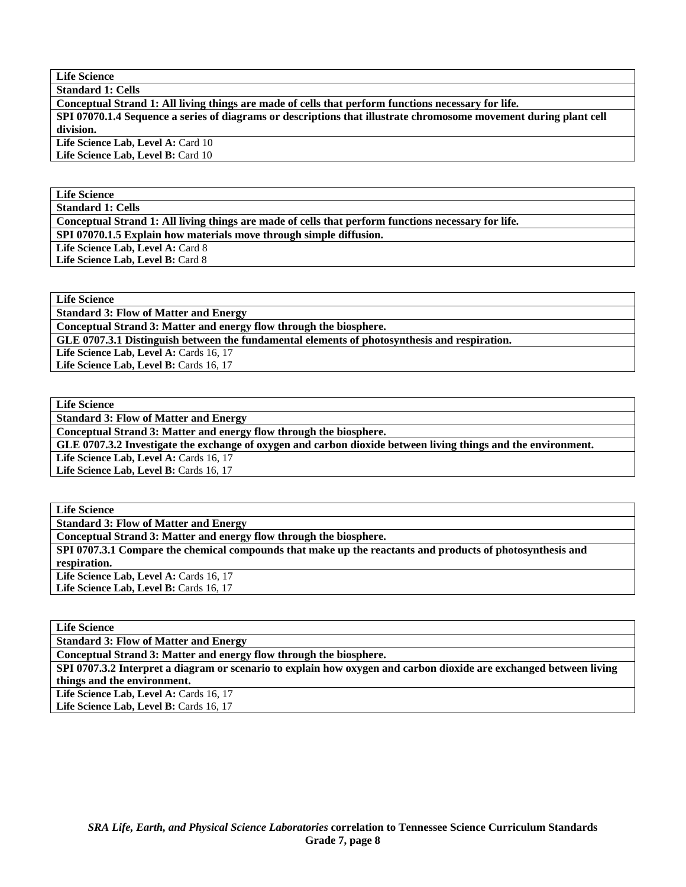**Standard 1: Cells** 

**Conceptual Strand 1: All living things are made of cells that perform functions necessary for life. SPI 07070.1.4 Sequence a series of diagrams or descriptions that illustrate chromosome movement during plant cell division.**  Life Science Lab, Level A: Card 10

Life Science Lab, Level B: Card 10

# **Life Science**

**Standard 1: Cells** 

**Conceptual Strand 1: All living things are made of cells that perform functions necessary for life.** 

**SPI 07070.1.5 Explain how materials move through simple diffusion.** 

Life Science Lab, Level A: Card 8

Life Science Lab, Level B: Card 8

**Life Science** 

**Standard 3: Flow of Matter and Energy** 

**Conceptual Strand 3: Matter and energy flow through the biosphere.** 

**GLE 0707.3.1 Distinguish between the fundamental elements of photosynthesis and respiration.** 

Life Science Lab, Level A: Cards 16, 17

Life Science Lab, Level B: Cards 16, 17

**Life Science** 

**Standard 3: Flow of Matter and Energy** 

**Conceptual Strand 3: Matter and energy flow through the biosphere.** 

**GLE 0707.3.2 Investigate the exchange of oxygen and carbon dioxide between living things and the environment.** 

Life Science Lab, Level A: Cards 16, 17

Life Science Lab, Level B: Cards 16, 17

**Life Science** 

**Standard 3: Flow of Matter and Energy** 

**Conceptual Strand 3: Matter and energy flow through the biosphere.** 

**SPI 0707.3.2 Interpret a diagram or scenario to explain how oxygen and carbon dioxide are exchanged between living things and the environment.** 

Life Science Lab, Level A: Cards 16, 17

Life Science Lab, Level B: Cards 16, 17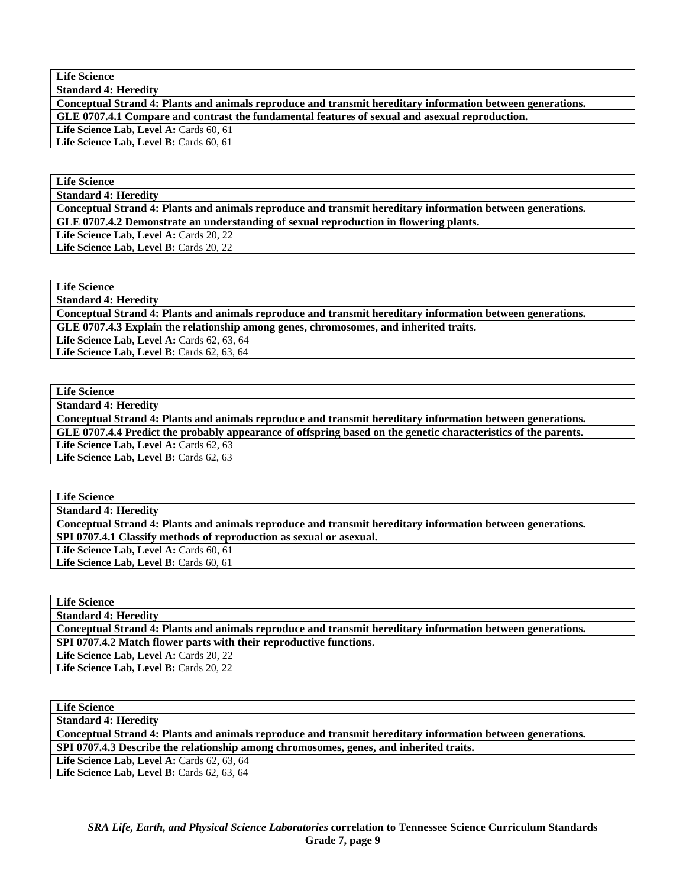**Standard 4: Heredity** 

**Conceptual Strand 4: Plants and animals reproduce and transmit hereditary information between generations. GLE 0707.4.1 Compare and contrast the fundamental features of sexual and asexual reproduction.** 

Life Science Lab, Level A: Cards 60, 61 Life Science Lab, Level B: Cards 60, 61

**Life Science** 

**Standard 4: Heredity** 

**Conceptual Strand 4: Plants and animals reproduce and transmit hereditary information between generations. GLE 0707.4.2 Demonstrate an understanding of sexual reproduction in flowering plants.** 

Life Science Lab, Level A: Cards 20, 22 Life Science Lab, Level B: Cards 20, 22

**Life Science** 

**Standard 4: Heredity** 

**Conceptual Strand 4: Plants and animals reproduce and transmit hereditary information between generations. GLE 0707.4.3 Explain the relationship among genes, chromosomes, and inherited traits.** 

Life Science Lab, Level A: Cards 62, 63, 64

Life Science Lab, Level B: Cards 62, 63, 64

**Life Science** 

**Standard 4: Heredity** 

**Conceptual Strand 4: Plants and animals reproduce and transmit hereditary information between generations. GLE 0707.4.4 Predict the probably appearance of offspring based on the genetic characteristics of the parents.**  Life Science Lab, Level A: Cards 62, 63

Life Science Lab, Level B: Cards 62, 63

**Life Science** 

**Standard 4: Heredity** 

**Conceptual Strand 4: Plants and animals reproduce and transmit hereditary information between generations.** 

**SPI 0707.4.1 Classify methods of reproduction as sexual or asexual.** 

Life Science Lab, Level A: Cards 60, 61 Life Science Lab, Level B: Cards 60, 61

**Life Science** 

**Standard 4: Heredity** 

**Conceptual Strand 4: Plants and animals reproduce and transmit hereditary information between generations.** 

**SPI 0707.4.2 Match flower parts with their reproductive functions.** 

Life Science Lab, Level A: Cards 20, 22

Life Science Lab, Level B: Cards 20, 22

| <b>Life Science</b>                                                                                        |  |  |
|------------------------------------------------------------------------------------------------------------|--|--|
| <b>Standard 4: Heredity</b>                                                                                |  |  |
| Conceptual Strand 4: Plants and animals reproduce and transmit hereditary information between generations. |  |  |
| SPI 0707.4.3 Describe the relationship among chromosomes, genes, and inherited traits.                     |  |  |
| <b>Life Science Lab, Level A: Cards 62, 63, 64</b>                                                         |  |  |
| Life Science Lab, Level B: Cards 62, 63, 64                                                                |  |  |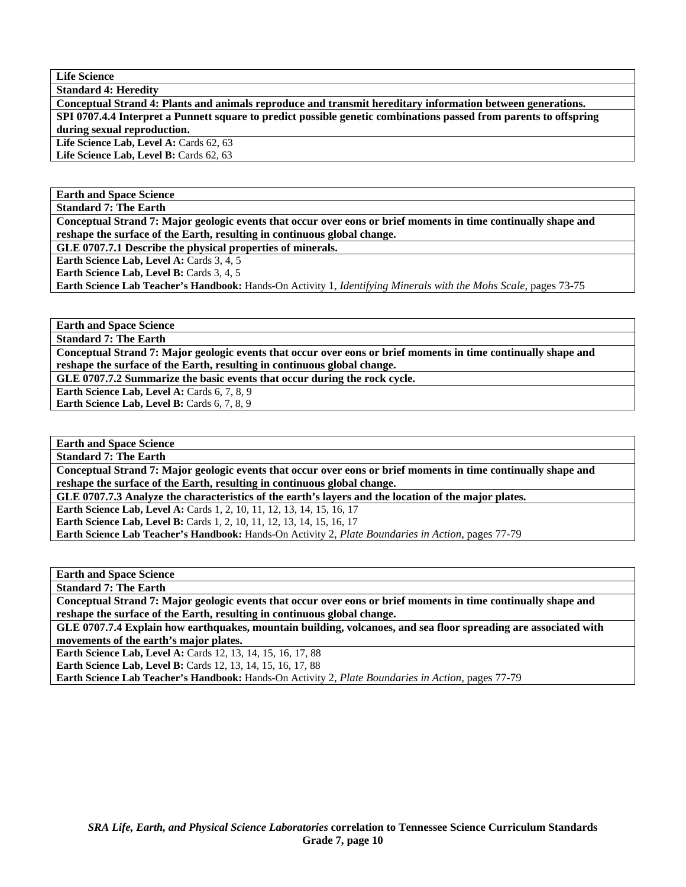**Standard 4: Heredity** 

**Conceptual Strand 4: Plants and animals reproduce and transmit hereditary information between generations. SPI 0707.4.4 Interpret a Punnett square to predict possible genetic combinations passed from parents to offspring during sexual reproduction.**  Life Science Lab, Level A: Cards 62, 63

Life Science Lab, Level B: Cards 62, 63

## **Earth and Space Science**

**Standard 7: The Earth** 

**Conceptual Strand 7: Major geologic events that occur over eons or brief moments in time continually shape and reshape the surface of the Earth, resulting in continuous global change.** 

**GLE 0707.7.1 Describe the physical properties of minerals.** 

Earth Science Lab, Level A: Cards 3, 4, 5

Earth Science Lab, Level B: Cards 3, 4, 5

**Earth Science Lab Teacher's Handbook:** Hands-On Activity 1, *Identifying Minerals with the Mohs Scale,* pages 73-75

**Earth and Space Science** 

**Standard 7: The Earth** 

**Conceptual Strand 7: Major geologic events that occur over eons or brief moments in time continually shape and reshape the surface of the Earth, resulting in continuous global change.** 

**GLE 0707.7.2 Summarize the basic events that occur during the rock cycle.** 

**Earth Science Lab, Level A: Cards 6, 7, 8, 9** 

**Earth Science Lab, Level B:** Cards 6, 7, 8, 9

**Earth and Space Science Standard 7: The Earth** 

**Conceptual Strand 7: Major geologic events that occur over eons or brief moments in time continually shape and reshape the surface of the Earth, resulting in continuous global change.** 

**GLE 0707.7.3 Analyze the characteristics of the earth's layers and the location of the major plates.** 

**Earth Science Lab, Level A: Cards 1, 2, 10, 11, 12, 13, 14, 15, 16, 17 Earth Science Lab, Level B:** Cards 1, 2, 10, 11, 12, 13, 14, 15, 16, 17

**Earth Science Lab Teacher's Handbook:** Hands-On Activity 2, *Plate Boundaries in Action,* pages 77-79

**Earth and Space Science** 

**Standard 7: The Earth** 

**Conceptual Strand 7: Major geologic events that occur over eons or brief moments in time continually shape and reshape the surface of the Earth, resulting in continuous global change.** 

**GLE 0707.7.4 Explain how earthquakes, mountain building, volcanoes, and sea floor spreading are associated with movements of the earth's major plates.** 

**Earth Science Lab, Level A: Cards 12, 13, 14, 15, 16, 17, 88** 

**Earth Science Lab, Level B:** Cards 12, 13, 14, 15, 16, 17, 88

**Earth Science Lab Teacher's Handbook:** Hands-On Activity 2, *Plate Boundaries in Action,* pages 77-79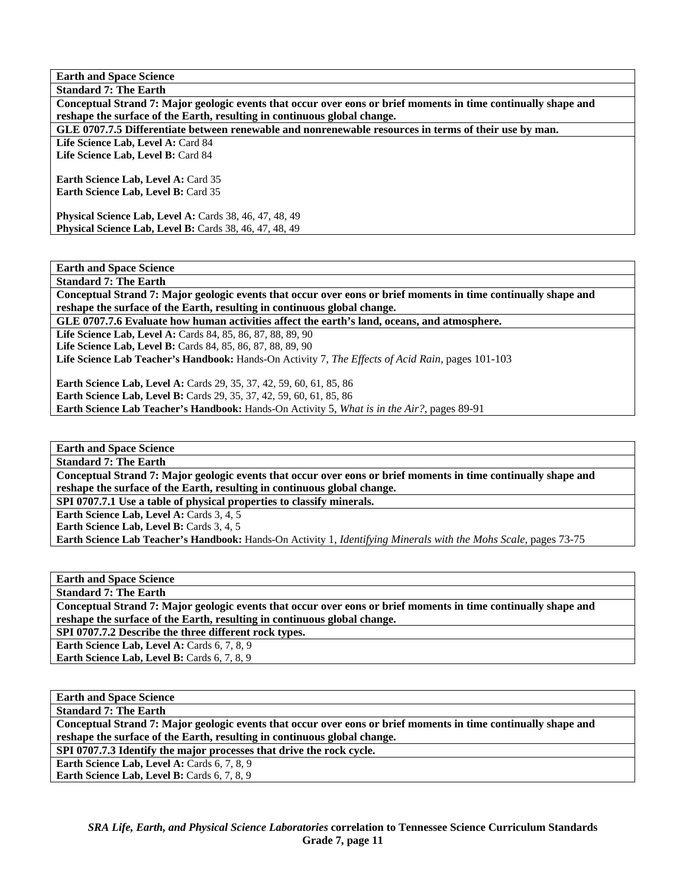**Earth and Space Science Standard 7: The Earth** 

**Conceptual Strand 7: Major geologic events that occur over eons or brief moments in time continually shape and reshape the surface of the Earth, resulting in continuous global change.** 

**GLE 0707.7.5 Differentiate between renewable and nonrenewable resources in terms of their use by man.** 

Life Science Lab, Level A: Card 84 Life Science Lab, Level B: Card 84

Earth Science Lab, Level A: Card 35 **Earth Science Lab, Level B:** Card 35

**Physical Science Lab, Level A:** Cards 38, 46, 47, 48, 49 **Physical Science Lab, Level B:** Cards 38, 46, 47, 48, 49

**Earth and Space Science** 

**Standard 7: The Earth Conceptual Strand 7: Major geologic events that occur over eons or brief moments in time continually shape and reshape the surface of the Earth, resulting in continuous global change.** 

**GLE 0707.7.6 Evaluate how human activities affect the earth's land, oceans, and atmosphere.** 

Life Science Lab, Level A: Cards 84, 85, 86, 87, 88, 89, 90

Life Science Lab, Level B: Cards 84, 85, 86, 87, 88, 89, 90

**Life Science Lab Teacher's Handbook:** Hands-On Activity 7, *The Effects of Acid Rain,* pages 101-103

**Earth Science Lab, Level A:** Cards 29, 35, 37, 42, 59, 60, 61, 85, 86 **Earth Science Lab, Level B:** Cards 29, 35, 37, 42, 59, 60, 61, 85, 86 **Earth Science Lab Teacher's Handbook:** Hands-On Activity 5, *What is in the Air?,* pages 89-91

**Earth and Space Science** 

**Standard 7: The Earth** 

**Conceptual Strand 7: Major geologic events that occur over eons or brief moments in time continually shape and reshape the surface of the Earth, resulting in continuous global change.** 

**SPI 0707.7.1 Use a table of physical properties to classify minerals.** 

**Earth Science Lab, Level A: Cards 3, 4, 5** 

**Earth Science Lab, Level B: Cards 3, 4, 5** 

**Earth Science Lab Teacher's Handbook:** Hands-On Activity 1, *Identifying Minerals with the Mohs Scale,* pages 73-75

**Earth and Space Science** 

**Standard 7: The Earth** 

**Conceptual Strand 7: Major geologic events that occur over eons or brief moments in time continually shape and reshape the surface of the Earth, resulting in continuous global change.** 

**SPI 0707.7.2 Describe the three different rock types.** 

**Earth Science Lab, Level A: Cards 6, 7, 8, 9** 

Earth Science Lab, Level B: Cards 6, 7, 8, 9

**Earth and Space Science** 

**Standard 7: The Earth** 

**Conceptual Strand 7: Major geologic events that occur over eons or brief moments in time continually shape and reshape the surface of the Earth, resulting in continuous global change.** 

**SPI 0707.7.3 Identify the major processes that drive the rock cycle.** 

**Earth Science Lab, Level A: Cards 6, 7, 8, 9** 

Earth Science Lab, Level B: Cards 6, 7, 8, 9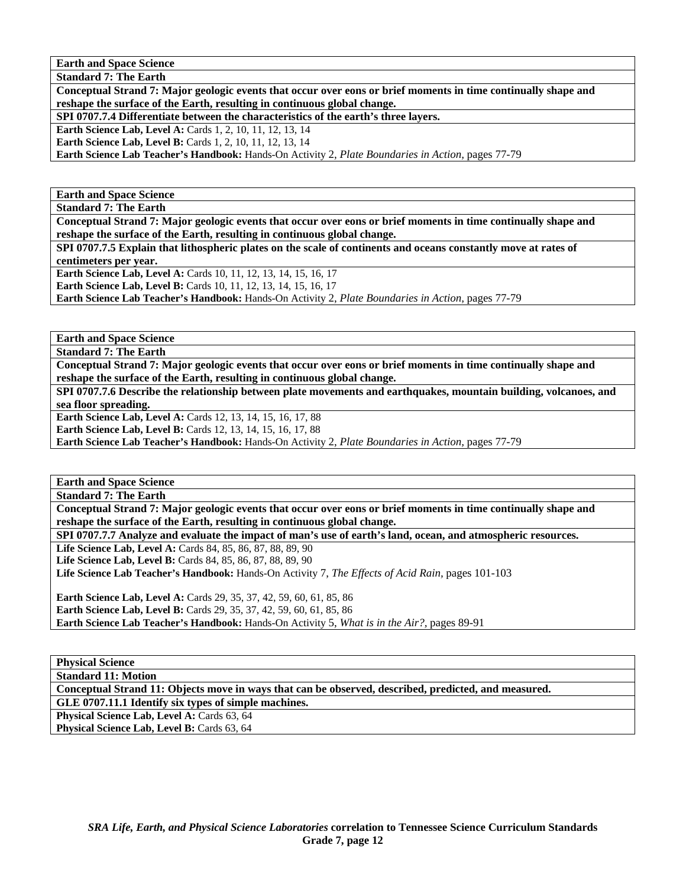**Standard 7: The Earth** 

**Conceptual Strand 7: Major geologic events that occur over eons or brief moments in time continually shape and reshape the surface of the Earth, resulting in continuous global change.** 

**SPI 0707.7.4 Differentiate between the characteristics of the earth's three layers.** 

**Earth Science Lab, Level A: Cards 1, 2, 10, 11, 12, 13, 14** 

**Earth Science Lab, Level B:** Cards 1, 2, 10, 11, 12, 13, 14

**Earth Science Lab Teacher's Handbook:** Hands-On Activity 2, *Plate Boundaries in Action,* pages 77-79

**Earth and Space Science** 

**Standard 7: The Earth** 

**Conceptual Strand 7: Major geologic events that occur over eons or brief moments in time continually shape and reshape the surface of the Earth, resulting in continuous global change.** 

**SPI 0707.7.5 Explain that lithospheric plates on the scale of continents and oceans constantly move at rates of centimeters per year. Earth Science Lab, Level A: Cards 10, 11, 12, 13, 14, 15, 16, 17** 

**Earth Science Lab, Level B:** Cards 10, 11, 12, 13, 14, 15, 16, 17

**Earth Science Lab Teacher's Handbook:** Hands-On Activity 2, *Plate Boundaries in Action,* pages 77-79

**Earth and Space Science** 

**Standard 7: The Earth** 

**Conceptual Strand 7: Major geologic events that occur over eons or brief moments in time continually shape and reshape the surface of the Earth, resulting in continuous global change.** 

**SPI 0707.7.6 Describe the relationship between plate movements and earthquakes, mountain building, volcanoes, and sea floor spreading.** 

**Earth Science Lab, Level A: Cards 12, 13, 14, 15, 16, 17, 88** 

**Earth Science Lab, Level B:** Cards 12, 13, 14, 15, 16, 17, 88

**Earth Science Lab Teacher's Handbook:** Hands-On Activity 2, *Plate Boundaries in Action,* pages 77-79

**Earth and Space Science** 

**Standard 7: The Earth** 

**Conceptual Strand 7: Major geologic events that occur over eons or brief moments in time continually shape and reshape the surface of the Earth, resulting in continuous global change.** 

**SPI 0707.7.7 Analyze and evaluate the impact of man's use of earth's land, ocean, and atmospheric resources.** 

Life Science Lab, Level A: Cards 84, 85, 86, 87, 88, 89, 90

Life Science Lab, Level B: Cards 84, 85, 86, 87, 88, 89, 90

**Life Science Lab Teacher's Handbook:** Hands-On Activity 7, *The Effects of Acid Rain,* pages 101-103

**Earth Science Lab, Level A:** Cards 29, 35, 37, 42, 59, 60, 61, 85, 86 **Earth Science Lab, Level B:** Cards 29, 35, 37, 42, 59, 60, 61, 85, 86 **Earth Science Lab Teacher's Handbook:** Hands-On Activity 5, *What is in the Air?,* pages 89-91

**Physical Science** 

**Standard 11: Motion** 

**Conceptual Strand 11: Objects move in ways that can be observed, described, predicted, and measured.** 

**GLE 0707.11.1 Identify six types of simple machines.** 

Physical Science Lab, Level A: Cards 63, 64

Physical Science Lab, Level B: Cards 63, 64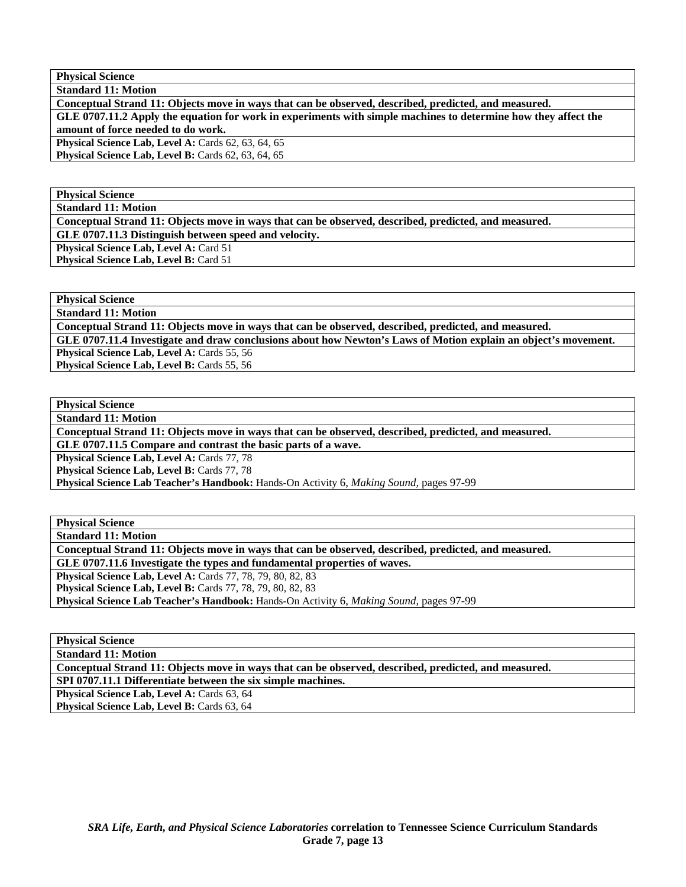**Physical Science Standard 11: Motion** 

**Conceptual Strand 11: Objects move in ways that can be observed, described, predicted, and measured.** 

**GLE 0707.11.2 Apply the equation for work in experiments with simple machines to determine how they affect the amount of force needed to do work.** 

**Physical Science Lab, Level A: Cards 62, 63, 64, 65** 

**Physical Science Lab, Level B: Cards 62, 63, 64, 65** 

**Physical Science** 

**Standard 11: Motion** 

**Conceptual Strand 11: Objects move in ways that can be observed, described, predicted, and measured.** 

**GLE 0707.11.3 Distinguish between speed and velocity.** 

**Physical Science Lab, Level A: Card 51** 

**Physical Science Lab, Level B: Card 51** 

**Physical Science** 

**Standard 11: Motion** 

**Conceptual Strand 11: Objects move in ways that can be observed, described, predicted, and measured.** 

**GLE 0707.11.4 Investigate and draw conclusions about how Newton's Laws of Motion explain an object's movement.** 

**Physical Science Lab, Level A: Cards 55, 56** Physical Science Lab, Level B: Cards 55, 56

**Physical Science** 

**Standard 11: Motion** 

**Conceptual Strand 11: Objects move in ways that can be observed, described, predicted, and measured.** 

**GLE 0707.11.5 Compare and contrast the basic parts of a wave.** 

Physical Science Lab, Level A: Cards 77, 78

**Physical Science Lab, Level B: Cards 77, 78** 

**Physical Science Lab Teacher's Handbook:** Hands-On Activity 6, *Making Sound,* pages 97-99

**Physical Science** 

**Standard 11: Motion** 

**Conceptual Strand 11: Objects move in ways that can be observed, described, predicted, and measured.** 

**GLE 0707.11.6 Investigate the types and fundamental properties of waves.** 

**Physical Science Lab, Level A:** Cards 77, 78, 79, 80, 82, 83

**Physical Science Lab, Level B:** Cards 77, 78, 79, 80, 82, 83

**Physical Science Lab Teacher's Handbook:** Hands-On Activity 6, *Making Sound,* pages 97-99

**Physical Science** 

**Standard 11: Motion** 

**Conceptual Strand 11: Objects move in ways that can be observed, described, predicted, and measured.** 

**SPI 0707.11.1 Differentiate between the six simple machines.** 

**Physical Science Lab, Level A: Cards 63, 64** 

Physical Science Lab, Level B: Cards 63, 64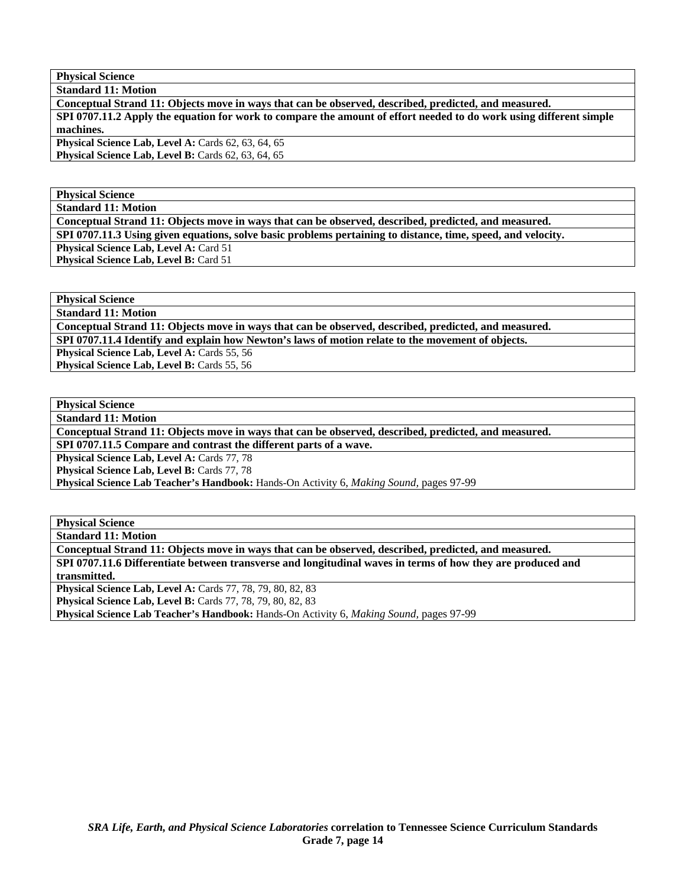**Physical Science Standard 11: Motion** 

**Conceptual Strand 11: Objects move in ways that can be observed, described, predicted, and measured.** 

**SPI 0707.11.2 Apply the equation for work to compare the amount of effort needed to do work using different simple machines.** 

**Physical Science Lab, Level A: Cards 62, 63, 64, 65 Physical Science Lab, Level B: Cards 62, 63, 64, 65** 

**Physical Science** 

**Standard 11: Motion** 

**Conceptual Strand 11: Objects move in ways that can be observed, described, predicted, and measured.** 

**SPI 0707.11.3 Using given equations, solve basic problems pertaining to distance, time, speed, and velocity.** 

**Physical Science Lab, Level A: Card 51** 

**Physical Science Lab, Level B: Card 51** 

**Physical Science** 

**Standard 11: Motion** 

**Conceptual Strand 11: Objects move in ways that can be observed, described, predicted, and measured. SPI 0707.11.4 Identify and explain how Newton's laws of motion relate to the movement of objects.** 

**Physical Science Lab, Level A: Cards 55, 56** Physical Science Lab, Level B: Cards 55, 56

**Physical Science** 

**Standard 11: Motion** 

**Conceptual Strand 11: Objects move in ways that can be observed, described, predicted, and measured.** 

**SPI 0707.11.5 Compare and contrast the different parts of a wave.** 

Physical Science Lab, Level A: Cards 77, 78

**Physical Science Lab, Level B: Cards 77, 78** 

**Physical Science Lab Teacher's Handbook:** Hands-On Activity 6, *Making Sound,* pages 97-99

**Physical Science** 

**Standard 11: Motion** 

**Conceptual Strand 11: Objects move in ways that can be observed, described, predicted, and measured.** 

**SPI 0707.11.6 Differentiate between transverse and longitudinal waves in terms of how they are produced and transmitted.** 

**Physical Science Lab, Level A: Cards 77, 78, 79, 80, 82, 83** 

**Physical Science Lab, Level B:** Cards 77, 78, 79, 80, 82, 83

**Physical Science Lab Teacher's Handbook:** Hands-On Activity 6, *Making Sound,* pages 97-99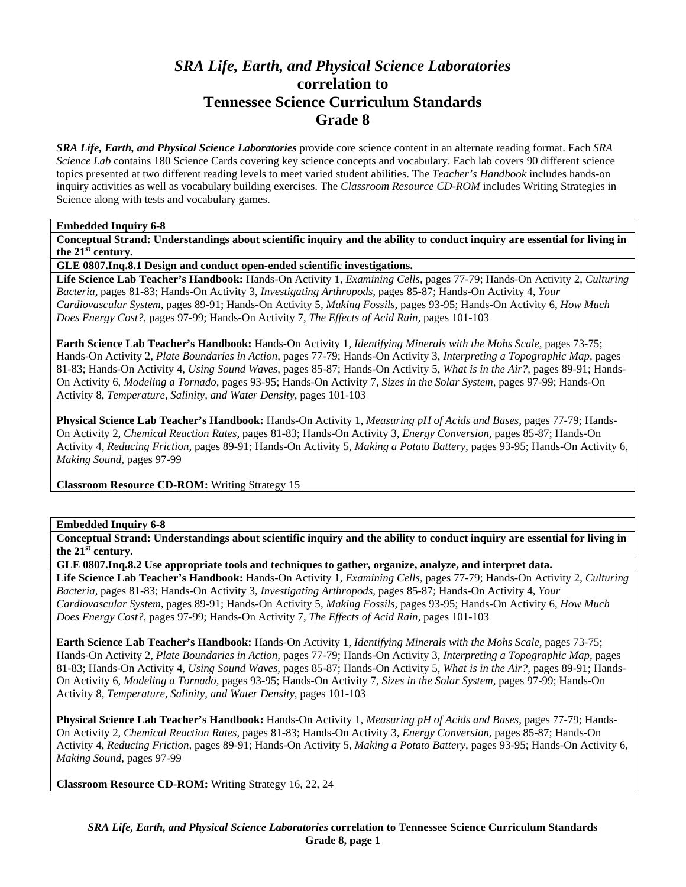# *SRA Life, Earth, and Physical Science Laboratories*  **correlation to Tennessee Science Curriculum Standards Grade 8**

*SRA Life, Earth, and Physical Science Laboratories* provide core science content in an alternate reading format. Each *SRA Science Lab* contains 180 Science Cards covering key science concepts and vocabulary. Each lab covers 90 different science topics presented at two different reading levels to meet varied student abilities. The *Teacher's Handbook* includes hands-on inquiry activities as well as vocabulary building exercises. The *Classroom Resource CD-ROM* includes Writing Strategies in Science along with tests and vocabulary games.

#### **Embedded Inquiry 6-8**

**Conceptual Strand: Understandings about scientific inquiry and the ability to conduct inquiry are essential for living in the 21st century.** 

**GLE 0807.Inq.8.1 Design and conduct open-ended scientific investigations.** 

**Life Science Lab Teacher's Handbook:** Hands-On Activity 1, *Examining Cells,* pages 77-79; Hands-On Activity 2, *Culturing Bacteria,* pages 81-83; Hands-On Activity 3, *Investigating Arthropods,* pages 85-87; Hands-On Activity 4, *Your Cardiovascular System,* pages 89-91; Hands-On Activity 5, *Making Fossils,* pages 93-95; Hands-On Activity 6, *How Much Does Energy Cost?,* pages 97-99; Hands-On Activity 7, *The Effects of Acid Rain,* pages 101-103

**Earth Science Lab Teacher's Handbook:** Hands-On Activity 1, *Identifying Minerals with the Mohs Scale,* pages 73-75; Hands-On Activity 2, *Plate Boundaries in Action,* pages 77-79; Hands-On Activity 3, *Interpreting a Topographic Map,* pages 81-83; Hands-On Activity 4, *Using Sound Waves,* pages 85-87; Hands-On Activity 5, *What is in the Air?,* pages 89-91; Hands-On Activity 6, *Modeling a Tornado,* pages 93-95; Hands-On Activity 7, *Sizes in the Solar System,* pages 97-99; Hands-On Activity 8, *Temperature, Salinity, and Water Density,* pages 101-103

**Physical Science Lab Teacher's Handbook:** Hands-On Activity 1, *Measuring pH of Acids and Bases,* pages 77-79; Hands-On Activity 2, *Chemical Reaction Rates,* pages 81-83; Hands-On Activity 3, *Energy Conversion,* pages 85-87; Hands-On Activity 4, *Reducing Friction,* pages 89-91; Hands-On Activity 5, *Making a Potato Battery,* pages 93-95; Hands-On Activity 6, *Making Sound,* pages 97-99

**Classroom Resource CD-ROM:** Writing Strategy 15

## **Embedded Inquiry 6-8**

**Conceptual Strand: Understandings about scientific inquiry and the ability to conduct inquiry are essential for living in the 21st century.** 

**GLE 0807.Inq.8.2 Use appropriate tools and techniques to gather, organize, analyze, and interpret data.** 

**Life Science Lab Teacher's Handbook:** Hands-On Activity 1, *Examining Cells,* pages 77-79; Hands-On Activity 2, *Culturing Bacteria,* pages 81-83; Hands-On Activity 3, *Investigating Arthropods,* pages 85-87; Hands-On Activity 4, *Your Cardiovascular System,* pages 89-91; Hands-On Activity 5, *Making Fossils,* pages 93-95; Hands-On Activity 6, *How Much Does Energy Cost?,* pages 97-99; Hands-On Activity 7, *The Effects of Acid Rain,* pages 101-103

**Earth Science Lab Teacher's Handbook:** Hands-On Activity 1, *Identifying Minerals with the Mohs Scale,* pages 73-75; Hands-On Activity 2, *Plate Boundaries in Action,* pages 77-79; Hands-On Activity 3, *Interpreting a Topographic Map,* pages 81-83; Hands-On Activity 4, *Using Sound Waves,* pages 85-87; Hands-On Activity 5, *What is in the Air?,* pages 89-91; Hands-On Activity 6, *Modeling a Tornado,* pages 93-95; Hands-On Activity 7, *Sizes in the Solar System,* pages 97-99; Hands-On Activity 8, *Temperature, Salinity, and Water Density,* pages 101-103

**Physical Science Lab Teacher's Handbook:** Hands-On Activity 1, *Measuring pH of Acids and Bases,* pages 77-79; Hands-On Activity 2, *Chemical Reaction Rates,* pages 81-83; Hands-On Activity 3, *Energy Conversion,* pages 85-87; Hands-On Activity 4, *Reducing Friction,* pages 89-91; Hands-On Activity 5, *Making a Potato Battery,* pages 93-95; Hands-On Activity 6, *Making Sound,* pages 97-99

**Classroom Resource CD-ROM:** Writing Strategy 16, 22, 24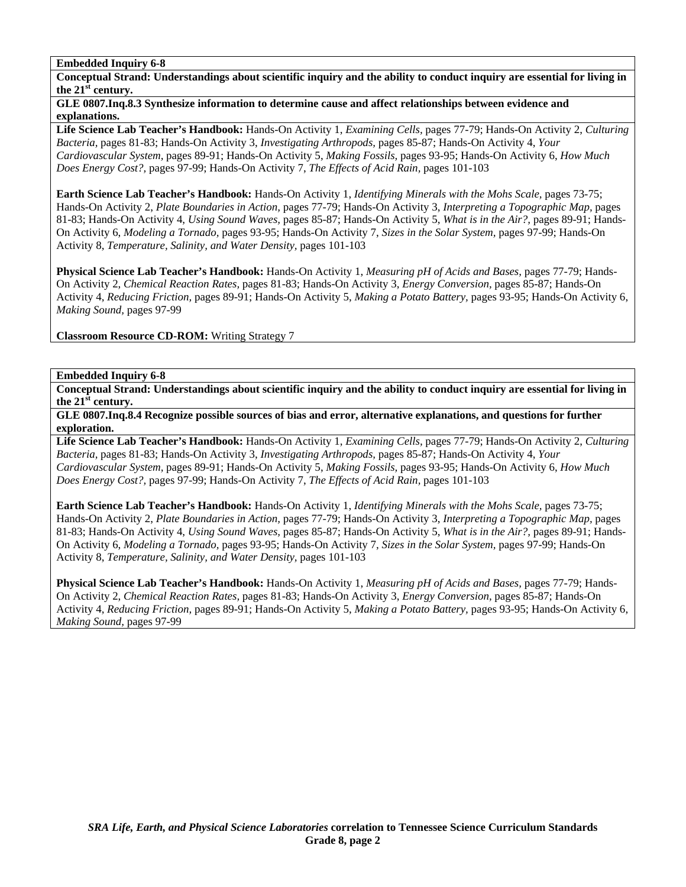**Conceptual Strand: Understandings about scientific inquiry and the ability to conduct inquiry are essential for living in the 21st century.** 

### **GLE 0807.Inq.8.3 Synthesize information to determine cause and affect relationships between evidence and explanations.**

**Life Science Lab Teacher's Handbook:** Hands-On Activity 1, *Examining Cells,* pages 77-79; Hands-On Activity 2, *Culturing Bacteria,* pages 81-83; Hands-On Activity 3, *Investigating Arthropods,* pages 85-87; Hands-On Activity 4, *Your Cardiovascular System,* pages 89-91; Hands-On Activity 5, *Making Fossils,* pages 93-95; Hands-On Activity 6, *How Much Does Energy Cost?,* pages 97-99; Hands-On Activity 7, *The Effects of Acid Rain,* pages 101-103

**Earth Science Lab Teacher's Handbook:** Hands-On Activity 1, *Identifying Minerals with the Mohs Scale,* pages 73-75; Hands-On Activity 2, *Plate Boundaries in Action,* pages 77-79; Hands-On Activity 3, *Interpreting a Topographic Map,* pages 81-83; Hands-On Activity 4, *Using Sound Waves,* pages 85-87; Hands-On Activity 5, *What is in the Air?,* pages 89-91; Hands-On Activity 6, *Modeling a Tornado,* pages 93-95; Hands-On Activity 7, *Sizes in the Solar System,* pages 97-99; Hands-On Activity 8, *Temperature, Salinity, and Water Density,* pages 101-103

**Physical Science Lab Teacher's Handbook:** Hands-On Activity 1, *Measuring pH of Acids and Bases,* pages 77-79; Hands-On Activity 2, *Chemical Reaction Rates,* pages 81-83; Hands-On Activity 3, *Energy Conversion,* pages 85-87; Hands-On Activity 4, *Reducing Friction,* pages 89-91; Hands-On Activity 5, *Making a Potato Battery,* pages 93-95; Hands-On Activity 6, *Making Sound,* pages 97-99

**Classroom Resource CD-ROM:** Writing Strategy 7

# **Embedded Inquiry 6-8**

**Conceptual Strand: Understandings about scientific inquiry and the ability to conduct inquiry are essential for living in the 21st century.** 

**GLE 0807.Inq.8.4 Recognize possible sources of bias and error, alternative explanations, and questions for further exploration.** 

**Life Science Lab Teacher's Handbook:** Hands-On Activity 1, *Examining Cells,* pages 77-79; Hands-On Activity 2, *Culturing Bacteria,* pages 81-83; Hands-On Activity 3, *Investigating Arthropods,* pages 85-87; Hands-On Activity 4, *Your Cardiovascular System,* pages 89-91; Hands-On Activity 5, *Making Fossils,* pages 93-95; Hands-On Activity 6, *How Much Does Energy Cost?,* pages 97-99; Hands-On Activity 7, *The Effects of Acid Rain,* pages 101-103

**Earth Science Lab Teacher's Handbook:** Hands-On Activity 1, *Identifying Minerals with the Mohs Scale,* pages 73-75; Hands-On Activity 2, *Plate Boundaries in Action,* pages 77-79; Hands-On Activity 3, *Interpreting a Topographic Map,* pages 81-83; Hands-On Activity 4, *Using Sound Waves,* pages 85-87; Hands-On Activity 5, *What is in the Air?,* pages 89-91; Hands-On Activity 6, *Modeling a Tornado,* pages 93-95; Hands-On Activity 7, *Sizes in the Solar System,* pages 97-99; Hands-On Activity 8, *Temperature, Salinity, and Water Density,* pages 101-103

**Physical Science Lab Teacher's Handbook:** Hands-On Activity 1, *Measuring pH of Acids and Bases,* pages 77-79; Hands-On Activity 2, *Chemical Reaction Rates,* pages 81-83; Hands-On Activity 3, *Energy Conversion,* pages 85-87; Hands-On Activity 4, *Reducing Friction,* pages 89-91; Hands-On Activity 5, *Making a Potato Battery,* pages 93-95; Hands-On Activity 6, *Making Sound,* pages 97-99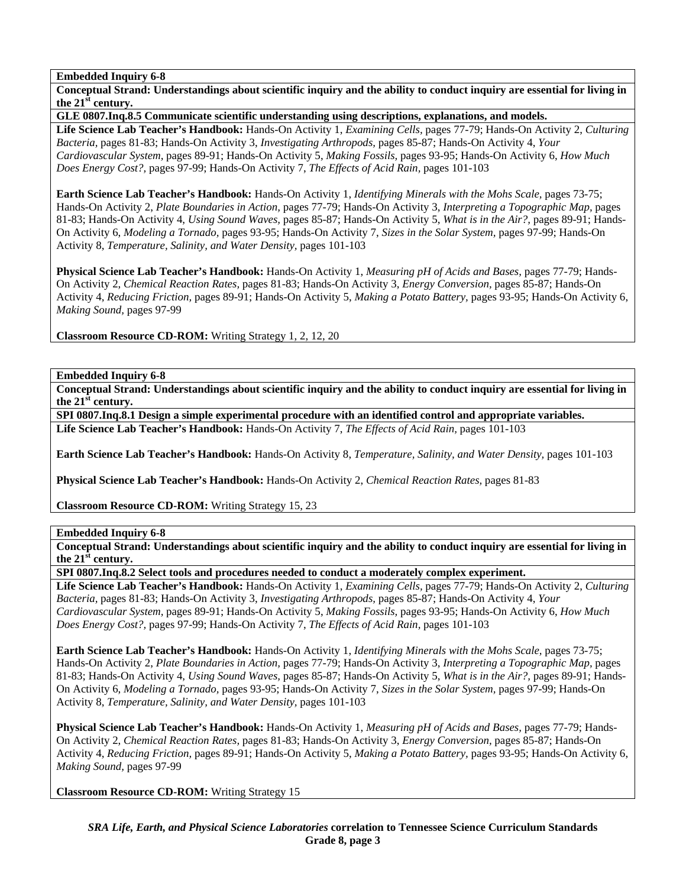**Conceptual Strand: Understandings about scientific inquiry and the ability to conduct inquiry are essential for living in the 21st century.** 

**GLE 0807.Inq.8.5 Communicate scientific understanding using descriptions, explanations, and models.** 

**Life Science Lab Teacher's Handbook:** Hands-On Activity 1, *Examining Cells,* pages 77-79; Hands-On Activity 2, *Culturing Bacteria,* pages 81-83; Hands-On Activity 3, *Investigating Arthropods,* pages 85-87; Hands-On Activity 4, *Your Cardiovascular System,* pages 89-91; Hands-On Activity 5, *Making Fossils,* pages 93-95; Hands-On Activity 6, *How Much Does Energy Cost?,* pages 97-99; Hands-On Activity 7, *The Effects of Acid Rain,* pages 101-103

**Earth Science Lab Teacher's Handbook:** Hands-On Activity 1, *Identifying Minerals with the Mohs Scale,* pages 73-75; Hands-On Activity 2, *Plate Boundaries in Action,* pages 77-79; Hands-On Activity 3, *Interpreting a Topographic Map,* pages 81-83; Hands-On Activity 4, *Using Sound Waves,* pages 85-87; Hands-On Activity 5, *What is in the Air?,* pages 89-91; Hands-On Activity 6, *Modeling a Tornado,* pages 93-95; Hands-On Activity 7, *Sizes in the Solar System,* pages 97-99; Hands-On Activity 8, *Temperature, Salinity, and Water Density,* pages 101-103

**Physical Science Lab Teacher's Handbook:** Hands-On Activity 1, *Measuring pH of Acids and Bases,* pages 77-79; Hands-On Activity 2, *Chemical Reaction Rates,* pages 81-83; Hands-On Activity 3, *Energy Conversion,* pages 85-87; Hands-On Activity 4, *Reducing Friction,* pages 89-91; Hands-On Activity 5, *Making a Potato Battery,* pages 93-95; Hands-On Activity 6, *Making Sound,* pages 97-99

**Classroom Resource CD-ROM:** Writing Strategy 1, 2, 12, 20

**Embedded Inquiry 6-8** 

**Conceptual Strand: Understandings about scientific inquiry and the ability to conduct inquiry are essential for living in the 21st century.** 

**SPI 0807.Inq.8.1 Design a simple experimental procedure with an identified control and appropriate variables. Life Science Lab Teacher's Handbook:** Hands-On Activity 7, *The Effects of Acid Rain,* pages 101-103

**Earth Science Lab Teacher's Handbook:** Hands-On Activity 8, *Temperature, Salinity, and Water Density,* pages 101-103

**Physical Science Lab Teacher's Handbook:** Hands-On Activity 2, *Chemical Reaction Rates,* pages 81-83

**Classroom Resource CD-ROM:** Writing Strategy 15, 23

#### **Embedded Inquiry 6-8**

**Conceptual Strand: Understandings about scientific inquiry and the ability to conduct inquiry are essential for living in the 21st century.** 

**SPI 0807.Inq.8.2 Select tools and procedures needed to conduct a moderately complex experiment.** 

**Life Science Lab Teacher's Handbook:** Hands-On Activity 1, *Examining Cells,* pages 77-79; Hands-On Activity 2, *Culturing Bacteria,* pages 81-83; Hands-On Activity 3, *Investigating Arthropods,* pages 85-87; Hands-On Activity 4, *Your Cardiovascular System,* pages 89-91; Hands-On Activity 5, *Making Fossils,* pages 93-95; Hands-On Activity 6, *How Much Does Energy Cost?,* pages 97-99; Hands-On Activity 7, *The Effects of Acid Rain,* pages 101-103

**Earth Science Lab Teacher's Handbook:** Hands-On Activity 1, *Identifying Minerals with the Mohs Scale,* pages 73-75; Hands-On Activity 2, *Plate Boundaries in Action,* pages 77-79; Hands-On Activity 3, *Interpreting a Topographic Map,* pages 81-83; Hands-On Activity 4, *Using Sound Waves,* pages 85-87; Hands-On Activity 5, *What is in the Air?,* pages 89-91; Hands-On Activity 6, *Modeling a Tornado,* pages 93-95; Hands-On Activity 7, *Sizes in the Solar System,* pages 97-99; Hands-On Activity 8, *Temperature, Salinity, and Water Density,* pages 101-103

**Physical Science Lab Teacher's Handbook:** Hands-On Activity 1, *Measuring pH of Acids and Bases,* pages 77-79; Hands-On Activity 2, *Chemical Reaction Rates,* pages 81-83; Hands-On Activity 3, *Energy Conversion,* pages 85-87; Hands-On Activity 4, *Reducing Friction,* pages 89-91; Hands-On Activity 5, *Making a Potato Battery,* pages 93-95; Hands-On Activity 6, *Making Sound,* pages 97-99

**Classroom Resource CD-ROM:** Writing Strategy 15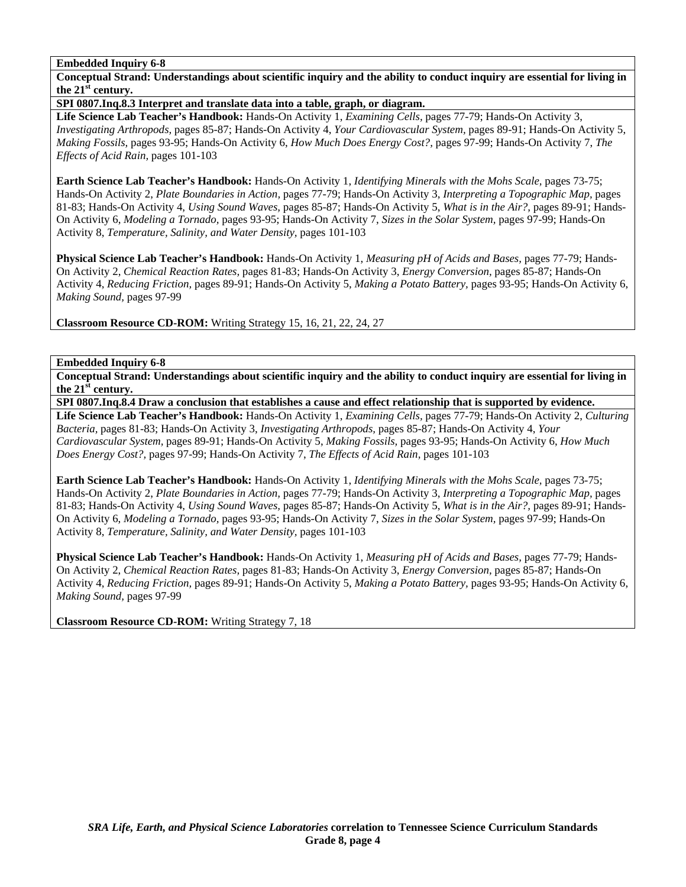**Conceptual Strand: Understandings about scientific inquiry and the ability to conduct inquiry are essential for living in the 21st century.** 

**SPI 0807.Inq.8.3 Interpret and translate data into a table, graph, or diagram.** 

**Life Science Lab Teacher's Handbook:** Hands-On Activity 1, *Examining Cells,* pages 77-79; Hands-On Activity 3, *Investigating Arthropods,* pages 85-87; Hands-On Activity 4, *Your Cardiovascular System,* pages 89-91; Hands-On Activity 5, *Making Fossils,* pages 93-95; Hands-On Activity 6, *How Much Does Energy Cost?,* pages 97-99; Hands-On Activity 7, *The Effects of Acid Rain,* pages 101-103

**Earth Science Lab Teacher's Handbook:** Hands-On Activity 1, *Identifying Minerals with the Mohs Scale,* pages 73-75; Hands-On Activity 2, *Plate Boundaries in Action,* pages 77-79; Hands-On Activity 3, *Interpreting a Topographic Map,* pages 81-83; Hands-On Activity 4, *Using Sound Waves,* pages 85-87; Hands-On Activity 5, *What is in the Air?,* pages 89-91; Hands-On Activity 6, *Modeling a Tornado,* pages 93-95; Hands-On Activity 7, *Sizes in the Solar System,* pages 97-99; Hands-On Activity 8, *Temperature, Salinity, and Water Density,* pages 101-103

**Physical Science Lab Teacher's Handbook:** Hands-On Activity 1, *Measuring pH of Acids and Bases,* pages 77-79; Hands-On Activity 2, *Chemical Reaction Rates,* pages 81-83; Hands-On Activity 3, *Energy Conversion,* pages 85-87; Hands-On Activity 4, *Reducing Friction,* pages 89-91; Hands-On Activity 5, *Making a Potato Battery,* pages 93-95; Hands-On Activity 6, *Making Sound,* pages 97-99

**Classroom Resource CD-ROM:** Writing Strategy 15, 16, 21, 22, 24, 27

# **Embedded Inquiry 6-8**

**Conceptual Strand: Understandings about scientific inquiry and the ability to conduct inquiry are essential for living in the 21st century.** 

**SPI 0807.Inq.8.4 Draw a conclusion that establishes a cause and effect relationship that is supported by evidence.** 

**Life Science Lab Teacher's Handbook:** Hands-On Activity 1, *Examining Cells,* pages 77-79; Hands-On Activity 2, *Culturing Bacteria,* pages 81-83; Hands-On Activity 3, *Investigating Arthropods,* pages 85-87; Hands-On Activity 4, *Your Cardiovascular System,* pages 89-91; Hands-On Activity 5, *Making Fossils,* pages 93-95; Hands-On Activity 6, *How Much Does Energy Cost?,* pages 97-99; Hands-On Activity 7, *The Effects of Acid Rain,* pages 101-103

**Earth Science Lab Teacher's Handbook:** Hands-On Activity 1, *Identifying Minerals with the Mohs Scale,* pages 73-75; Hands-On Activity 2, *Plate Boundaries in Action,* pages 77-79; Hands-On Activity 3, *Interpreting a Topographic Map,* pages 81-83; Hands-On Activity 4, *Using Sound Waves,* pages 85-87; Hands-On Activity 5, *What is in the Air?,* pages 89-91; Hands-On Activity 6, *Modeling a Tornado,* pages 93-95; Hands-On Activity 7, *Sizes in the Solar System,* pages 97-99; Hands-On Activity 8, *Temperature, Salinity, and Water Density,* pages 101-103

**Physical Science Lab Teacher's Handbook:** Hands-On Activity 1, *Measuring pH of Acids and Bases,* pages 77-79; Hands-On Activity 2, *Chemical Reaction Rates,* pages 81-83; Hands-On Activity 3, *Energy Conversion,* pages 85-87; Hands-On Activity 4, *Reducing Friction,* pages 89-91; Hands-On Activity 5, *Making a Potato Battery,* pages 93-95; Hands-On Activity 6, *Making Sound,* pages 97-99

**Classroom Resource CD-ROM:** Writing Strategy 7, 18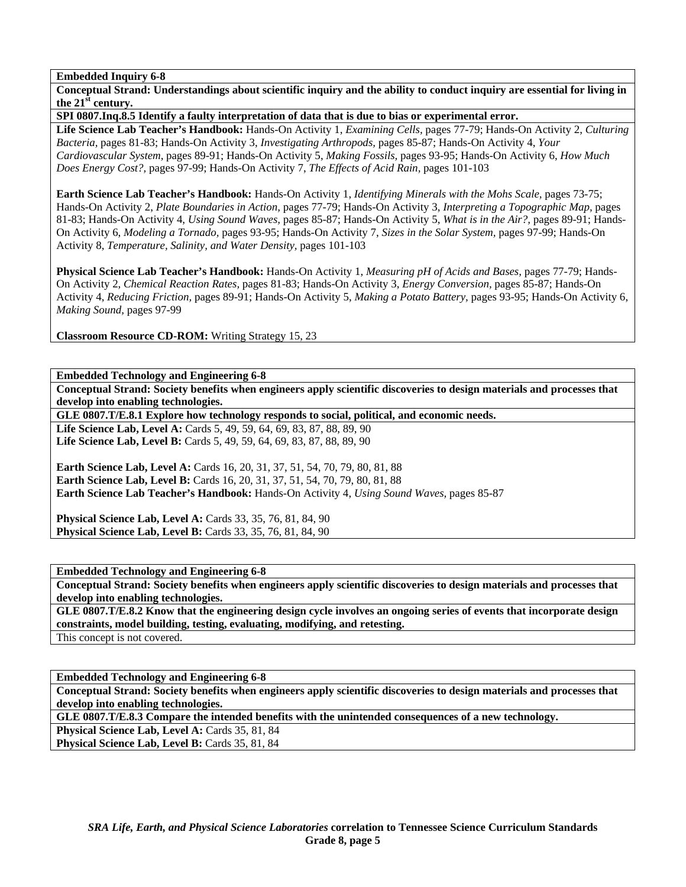**Conceptual Strand: Understandings about scientific inquiry and the ability to conduct inquiry are essential for living in the 21st century.** 

**SPI 0807.Inq.8.5 Identify a faulty interpretation of data that is due to bias or experimental error.** 

**Life Science Lab Teacher's Handbook:** Hands-On Activity 1, *Examining Cells,* pages 77-79; Hands-On Activity 2, *Culturing Bacteria,* pages 81-83; Hands-On Activity 3, *Investigating Arthropods,* pages 85-87; Hands-On Activity 4, *Your Cardiovascular System,* pages 89-91; Hands-On Activity 5, *Making Fossils,* pages 93-95; Hands-On Activity 6, *How Much Does Energy Cost?,* pages 97-99; Hands-On Activity 7, *The Effects of Acid Rain,* pages 101-103

**Earth Science Lab Teacher's Handbook:** Hands-On Activity 1, *Identifying Minerals with the Mohs Scale,* pages 73-75; Hands-On Activity 2, *Plate Boundaries in Action,* pages 77-79; Hands-On Activity 3, *Interpreting a Topographic Map,* pages 81-83; Hands-On Activity 4, *Using Sound Waves,* pages 85-87; Hands-On Activity 5, *What is in the Air?,* pages 89-91; Hands-On Activity 6, *Modeling a Tornado,* pages 93-95; Hands-On Activity 7, *Sizes in the Solar System,* pages 97-99; Hands-On Activity 8, *Temperature, Salinity, and Water Density,* pages 101-103

**Physical Science Lab Teacher's Handbook:** Hands-On Activity 1, *Measuring pH of Acids and Bases,* pages 77-79; Hands-On Activity 2, *Chemical Reaction Rates,* pages 81-83; Hands-On Activity 3, *Energy Conversion,* pages 85-87; Hands-On Activity 4, *Reducing Friction,* pages 89-91; Hands-On Activity 5, *Making a Potato Battery,* pages 93-95; Hands-On Activity 6, *Making Sound,* pages 97-99

**Classroom Resource CD-ROM:** Writing Strategy 15, 23

**Embedded Technology and Engineering 6-8** 

**Conceptual Strand: Society benefits when engineers apply scientific discoveries to design materials and processes that develop into enabling technologies.** 

**GLE 0807.T/E.8.1 Explore how technology responds to social, political, and economic needs.** 

**Life Science Lab, Level A:** Cards 5, 49, 59, 64, 69, 83, 87, 88, 89, 90 **Life Science Lab, Level B:** Cards 5, 49, 59, 64, 69, 83, 87, 88, 89, 90

**Earth Science Lab, Level A: Cards 16, 20, 31, 37, 51, 54, 70, 79, 80, 81, 88 Earth Science Lab, Level B:** Cards 16, 20, 31, 37, 51, 54, 70, 79, 80, 81, 88 **Earth Science Lab Teacher's Handbook:** Hands-On Activity 4, *Using Sound Waves,* pages 85-87

**Physical Science Lab, Level A: Cards 33, 35, 76, 81, 84, 90 Physical Science Lab, Level B:** Cards 33, 35, 76, 81, 84, 90

**Embedded Technology and Engineering 6-8** 

**Conceptual Strand: Society benefits when engineers apply scientific discoveries to design materials and processes that develop into enabling technologies.** 

**GLE 0807.T/E.8.2 Know that the engineering design cycle involves an ongoing series of events that incorporate design constraints, model building, testing, evaluating, modifying, and retesting.**  This concept is not covered.

**Embedded Technology and Engineering 6-8** 

**Conceptual Strand: Society benefits when engineers apply scientific discoveries to design materials and processes that develop into enabling technologies.** 

**GLE 0807.T/E.8.3 Compare the intended benefits with the unintended consequences of a new technology.** 

Physical Science Lab, Level A: Cards 35, 81, 84

Physical Science Lab, Level B: Cards 35, 81, 84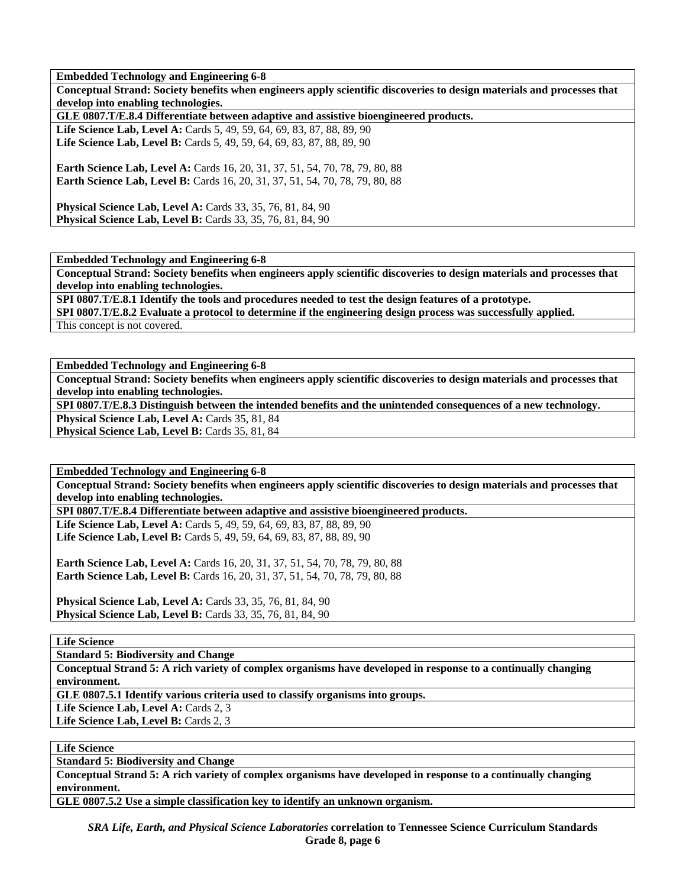**Embedded Technology and Engineering 6-8** 

**Conceptual Strand: Society benefits when engineers apply scientific discoveries to design materials and processes that develop into enabling technologies.** 

**GLE 0807.T/E.8.4 Differentiate between adaptive and assistive bioengineered products.** 

Life Science Lab, Level A: Cards 5, 49, 59, 64, 69, 83, 87, 88, 89, 90 Life Science Lab, Level B: Cards 5, 49, 59, 64, 69, 83, 87, 88, 89, 90

**Earth Science Lab, Level A:** Cards 16, 20, 31, 37, 51, 54, 70, 78, 79, 80, 88 **Earth Science Lab, Level B:** Cards 16, 20, 31, 37, 51, 54, 70, 78, 79, 80, 88

**Physical Science Lab, Level A: Cards 33, 35, 76, 81, 84, 90 Physical Science Lab, Level B:** Cards 33, 35, 76, 81, 84, 90

**Embedded Technology and Engineering 6-8** 

**Conceptual Strand: Society benefits when engineers apply scientific discoveries to design materials and processes that develop into enabling technologies.** 

**SPI 0807.T/E.8.1 Identify the tools and procedures needed to test the design features of a prototype. SPI 0807.T/E.8.2 Evaluate a protocol to determine if the engineering design process was successfully applied.**  This concept is not covered.

**Embedded Technology and Engineering 6-8** 

**Conceptual Strand: Society benefits when engineers apply scientific discoveries to design materials and processes that develop into enabling technologies.** 

**SPI 0807.T/E.8.3 Distinguish between the intended benefits and the unintended consequences of a new technology.**  Physical Science Lab, Level A: Cards 35, 81, 84

Physical Science Lab, Level B: Cards 35, 81, 84

**Embedded Technology and Engineering 6-8 Conceptual Strand: Society benefits when engineers apply scientific discoveries to design materials and processes that develop into enabling technologies.** 

**SPI 0807.T/E.8.4 Differentiate between adaptive and assistive bioengineered products.** 

Life Science Lab, Level A: Cards 5, 49, 59, 64, 69, 83, 87, 88, 89, 90 Life Science Lab, Level B: Cards 5, 49, 59, 64, 69, 83, 87, 88, 89, 90

**Earth Science Lab, Level A: Cards 16, 20, 31, 37, 51, 54, 70, 78, 79, 80, 88 Earth Science Lab, Level B:** Cards 16, 20, 31, 37, 51, 54, 70, 78, 79, 80, 88

**Physical Science Lab, Level A: Cards 33, 35, 76, 81, 84, 90 Physical Science Lab, Level B:** Cards 33, 35, 76, 81, 84, 90

**Life Science** 

**Standard 5: Biodiversity and Change** 

**Conceptual Strand 5: A rich variety of complex organisms have developed in response to a continually changing environment.** 

**GLE 0807.5.1 Identify various criteria used to classify organisms into groups.** 

Life Science Lab, Level A: Cards 2, 3

Life Science Lab, Level B: Cards 2, 3

**Life Science** 

**Standard 5: Biodiversity and Change** 

**Conceptual Strand 5: A rich variety of complex organisms have developed in response to a continually changing environment.** 

**GLE 0807.5.2 Use a simple classification key to identify an unknown organism.**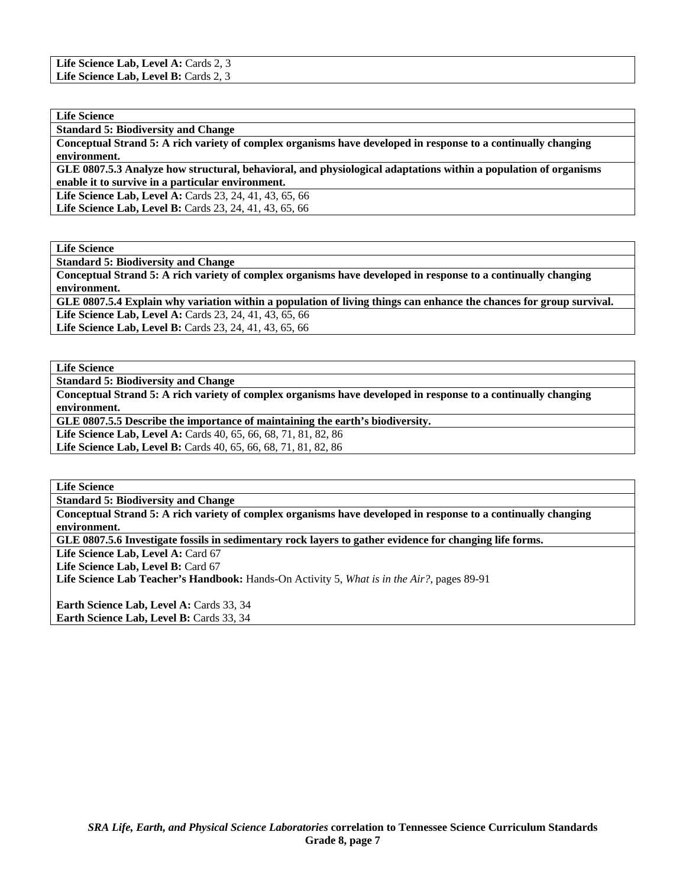| Life Science Lab, Level A: Cards 2, 3 |  |
|---------------------------------------|--|
| Life Science Lab, Level B: Cards 2, 3 |  |

| <b>Life Science</b>                        |  |
|--------------------------------------------|--|
| <b>Standard 5: Biodiversity and Change</b> |  |

**Conceptual Strand 5: A rich variety of complex organisms have developed in response to a continually changing environment.** 

**GLE 0807.5.3 Analyze how structural, behavioral, and physiological adaptations within a population of organisms enable it to survive in a particular environment.** 

Life Science Lab, Level A: Cards 23, 24, 41, 43, 65, 66

Life Science Lab, Level B: Cards 23, 24, 41, 43, 65, 66

**Life Science** 

**Standard 5: Biodiversity and Change** 

**Conceptual Strand 5: A rich variety of complex organisms have developed in response to a continually changing environment.** 

**GLE 0807.5.4 Explain why variation within a population of living things can enhance the chances for group survival. Life Science Lab, Level A:** Cards 23, 24, 41, 43, 65, 66

Life Science Lab, Level B: Cards 23, 24, 41, 43, 65, 66

**Life Science** 

**Standard 5: Biodiversity and Change** 

**Conceptual Strand 5: A rich variety of complex organisms have developed in response to a continually changing environment.** 

**GLE 0807.5.5 Describe the importance of maintaining the earth's biodiversity.** 

**Life Science Lab, Level A:** Cards 40, 65, 66, 68, 71, 81, 82, 86

**Life Science Lab, Level B:** Cards 40, 65, 66, 68, 71, 81, 82, 86

**Life Science** 

**Standard 5: Biodiversity and Change** 

**Conceptual Strand 5: A rich variety of complex organisms have developed in response to a continually changing environment.** 

**GLE 0807.5.6 Investigate fossils in sedimentary rock layers to gather evidence for changing life forms.** 

Life Science Lab, Level A: Card 67

Life Science Lab, Level B: Card 67

**Life Science Lab Teacher's Handbook:** Hands-On Activity 5, *What is in the Air?,* pages 89-91

**Earth Science Lab, Level A: Cards 33, 34 Earth Science Lab, Level B: Cards 33, 34**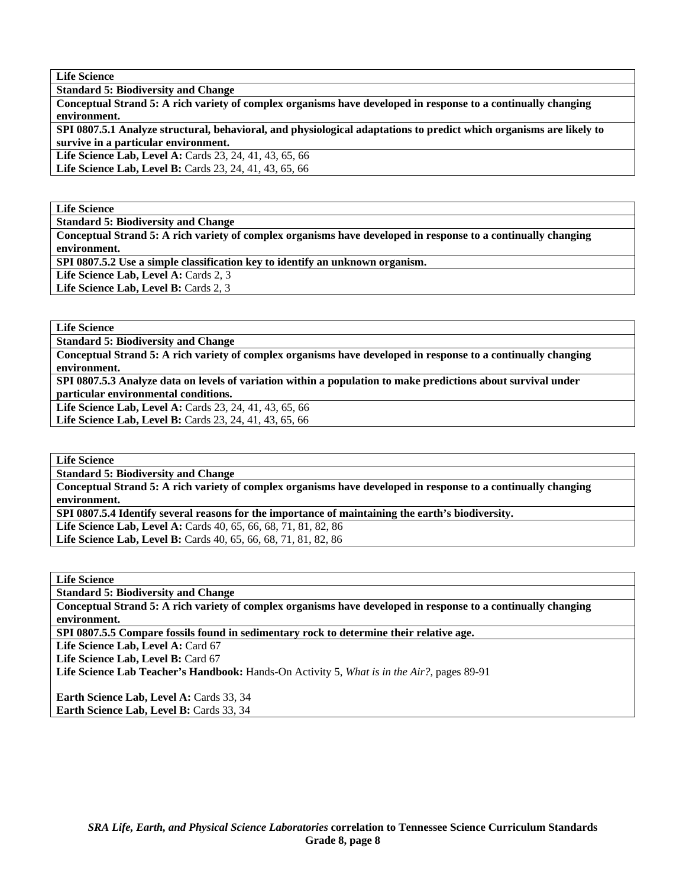**Standard 5: Biodiversity and Change** 

**Conceptual Strand 5: A rich variety of complex organisms have developed in response to a continually changing environment.** 

**SPI 0807.5.1 Analyze structural, behavioral, and physiological adaptations to predict which organisms are likely to survive in a particular environment.** 

**Life Science Lab, Level A:** Cards 23, 24, 41, 43, 65, 66

Life Science Lab, Level B: Cards 23, 24, 41, 43, 65, 66

**Life Science** 

**Standard 5: Biodiversity and Change** 

**Conceptual Strand 5: A rich variety of complex organisms have developed in response to a continually changing environment.** 

**SPI 0807.5.2 Use a simple classification key to identify an unknown organism.** 

Life Science Lab, Level A: Cards 2, 3

Life Science Lab, Level B: Cards 2, 3

**Life Science** 

**Standard 5: Biodiversity and Change** 

**Conceptual Strand 5: A rich variety of complex organisms have developed in response to a continually changing environment.** 

**SPI 0807.5.3 Analyze data on levels of variation within a population to make predictions about survival under particular environmental conditions.** 

**Life Science Lab, Level A:** Cards 23, 24, 41, 43, 65, 66 Life Science Lab, Level B: Cards 23, 24, 41, 43, 65, 66

**Life Science** 

**Standard 5: Biodiversity and Change** 

**Conceptual Strand 5: A rich variety of complex organisms have developed in response to a continually changing environment.** 

**SPI 0807.5.4 Identify several reasons for the importance of maintaining the earth's biodiversity.** 

**Life Science Lab, Level A:** Cards 40, 65, 66, 68, 71, 81, 82, 86 **Life Science Lab, Level B:** Cards 40, 65, 66, 68, 71, 81, 82, 86

**Life Science** 

**Standard 5: Biodiversity and Change** 

**Conceptual Strand 5: A rich variety of complex organisms have developed in response to a continually changing environment.** 

**SPI 0807.5.5 Compare fossils found in sedimentary rock to determine their relative age.** 

Life Science Lab, Level A: Card 67

Life Science Lab, Level B: Card 67

**Life Science Lab Teacher's Handbook:** Hands-On Activity 5, *What is in the Air?,* pages 89-91

**Earth Science Lab, Level A: Cards 33, 34 Earth Science Lab, Level B: Cards 33, 34**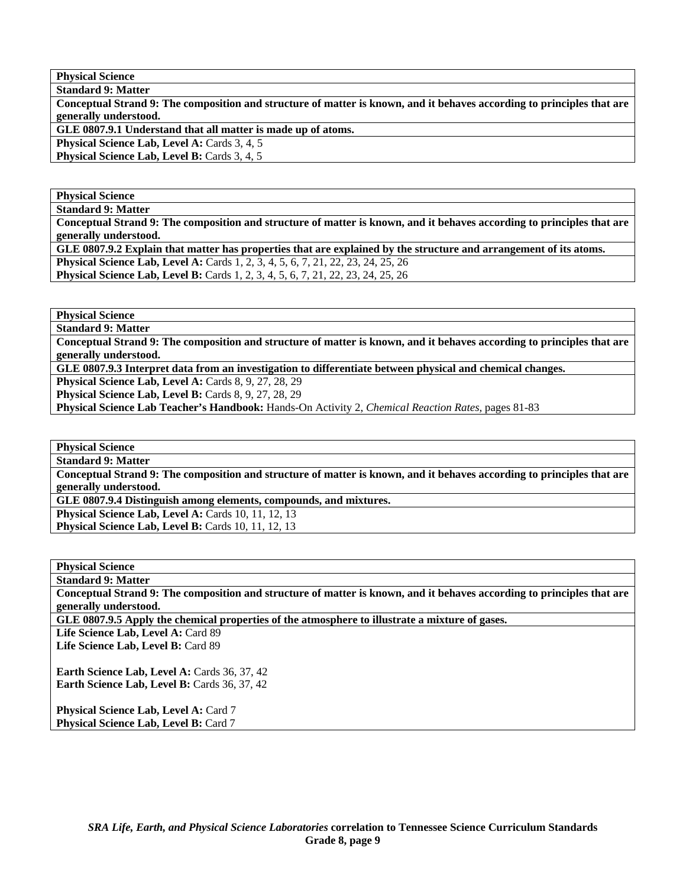**Physical Science Standard 9: Matter** 

**Conceptual Strand 9: The composition and structure of matter is known, and it behaves according to principles that are generally understood.** 

**GLE 0807.9.1 Understand that all matter is made up of atoms.** 

Physical Science Lab, Level A: Cards 3, 4, 5

**Physical Science Lab, Level B: Cards 3, 4, 5** 

# **Physical Science**

**Standard 9: Matter** 

**Conceptual Strand 9: The composition and structure of matter is known, and it behaves according to principles that are generally understood.** 

**GLE 0807.9.2 Explain that matter has properties that are explained by the structure and arrangement of its atoms. Physical Science Lab, Level A:** Cards 1, 2, 3, 4, 5, 6, 7, 21, 22, 23, 24, 25, 26 **Physical Science Lab, Level B:** Cards 1, 2, 3, 4, 5, 6, 7, 21, 22, 23, 24, 25, 26

**Physical Science Standard 9: Matter** 

**Conceptual Strand 9: The composition and structure of matter is known, and it behaves according to principles that are generally understood.** 

**GLE 0807.9.3 Interpret data from an investigation to differentiate between physical and chemical changes.** 

**Physical Science Lab, Level A: Cards 8, 9, 27, 28, 29** 

**Physical Science Lab, Level B: Cards 8, 9, 27, 28, 29** 

**Physical Science Lab Teacher's Handbook:** Hands-On Activity 2, *Chemical Reaction Rates,* pages 81-83

**Physical Science Standard 9: Matter** 

**Conceptual Strand 9: The composition and structure of matter is known, and it behaves according to principles that are generally understood.** 

**GLE 0807.9.4 Distinguish among elements, compounds, and mixtures.** 

**Physical Science Lab, Level A: Cards 10, 11, 12, 13 Physical Science Lab, Level B: Cards 10, 11, 12, 13** 

**Physical Science** 

**Standard 9: Matter** 

**Conceptual Strand 9: The composition and structure of matter is known, and it behaves according to principles that are generally understood.** 

**GLE 0807.9.5 Apply the chemical properties of the atmosphere to illustrate a mixture of gases.** 

Life Science Lab, Level A: Card 89 **Life Science Lab, Level B:** Card 89

**Earth Science Lab, Level A: Cards 36, 37, 42** Earth Science Lab, Level B: Cards 36, 37, 42

**Physical Science Lab, Level A: Card 7 Physical Science Lab, Level B: Card 7**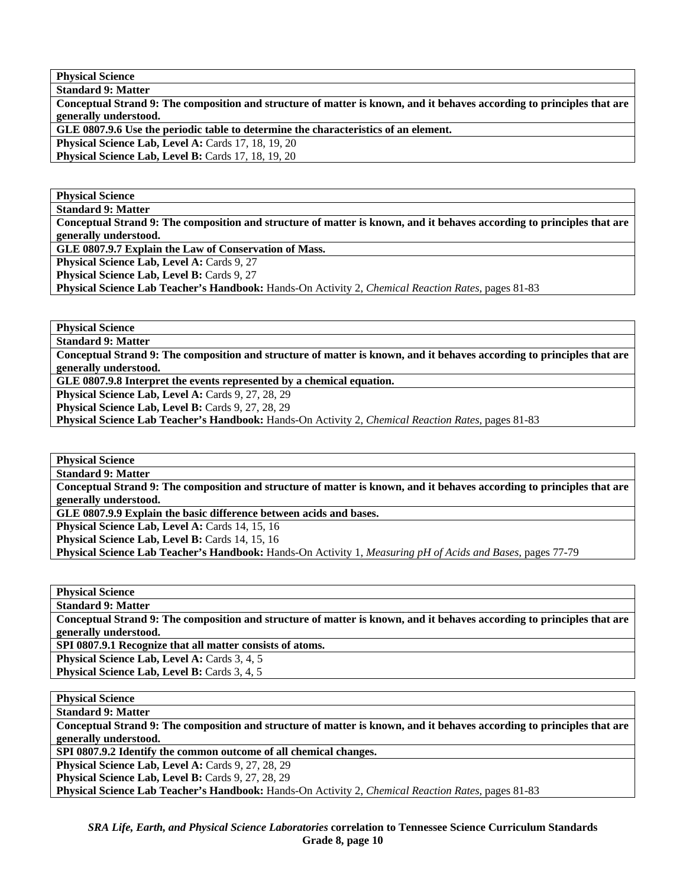**Physical Science** 

| <b>Standard 9: Matter</b>                                                                                              |
|------------------------------------------------------------------------------------------------------------------------|
| Conceptual Strand 9: The composition and structure of matter is known, and it behaves according to principles that are |
| generally understood.                                                                                                  |
| GLE 0807.9.6 Use the periodic table to determine the characteristics of an element.                                    |
| <b>Physical Science Lab, Level A: Cards 17, 18, 19, 20</b>                                                             |
| <b>Physical Science Lab, Level B:</b> Cards 17, 18, 19, 20                                                             |

**Physical Science** 

**Standard 9: Matter** 

**Conceptual Strand 9: The composition and structure of matter is known, and it behaves according to principles that are generally understood.** 

**GLE 0807.9.7 Explain the Law of Conservation of Mass.** 

Physical Science Lab, Level A: Cards 9, 27

**Physical Science Lab, Level B: Cards 9, 27** 

**Physical Science Lab Teacher's Handbook:** Hands-On Activity 2, *Chemical Reaction Rates,* pages 81-83

**Physical Science** 

**Standard 9: Matter** 

**Conceptual Strand 9: The composition and structure of matter is known, and it behaves according to principles that are generally understood.** 

**GLE 0807.9.8 Interpret the events represented by a chemical equation.** 

Physical Science Lab, Level A: Cards 9, 27, 28, 29

Physical Science Lab, Level B: Cards 9, 27, 28, 29

**Physical Science Lab Teacher's Handbook:** Hands-On Activity 2, *Chemical Reaction Rates,* pages 81-83

**Physical Science** 

**Standard 9: Matter** 

**Conceptual Strand 9: The composition and structure of matter is known, and it behaves according to principles that are generally understood.** 

**GLE 0807.9.9 Explain the basic difference between acids and bases.** 

Physical Science Lab, Level A: Cards 14, 15, 16

**Physical Science Lab, Level B: Cards 14, 15, 16** 

**Physical Science Lab Teacher's Handbook:** Hands-On Activity 1, *Measuring pH of Acids and Bases,* pages 77-79

**Physical Science Standard 9: Matter** 

**Conceptual Strand 9: The composition and structure of matter is known, and it behaves according to principles that are generally understood.** 

**SPI 0807.9.1 Recognize that all matter consists of atoms.** 

Physical Science Lab, Level A: Cards 3, 4, 5

Physical Science Lab, Level B: Cards 3, 4, 5

**Physical Science** 

**Standard 9: Matter** 

**Conceptual Strand 9: The composition and structure of matter is known, and it behaves according to principles that are generally understood.** 

**SPI 0807.9.2 Identify the common outcome of all chemical changes.** 

Physical Science Lab, Level A: Cards 9, 27, 28, 29

Physical Science Lab, Level B: Cards 9, 27, 28, 29

**Physical Science Lab Teacher's Handbook:** Hands-On Activity 2, *Chemical Reaction Rates,* pages 81-83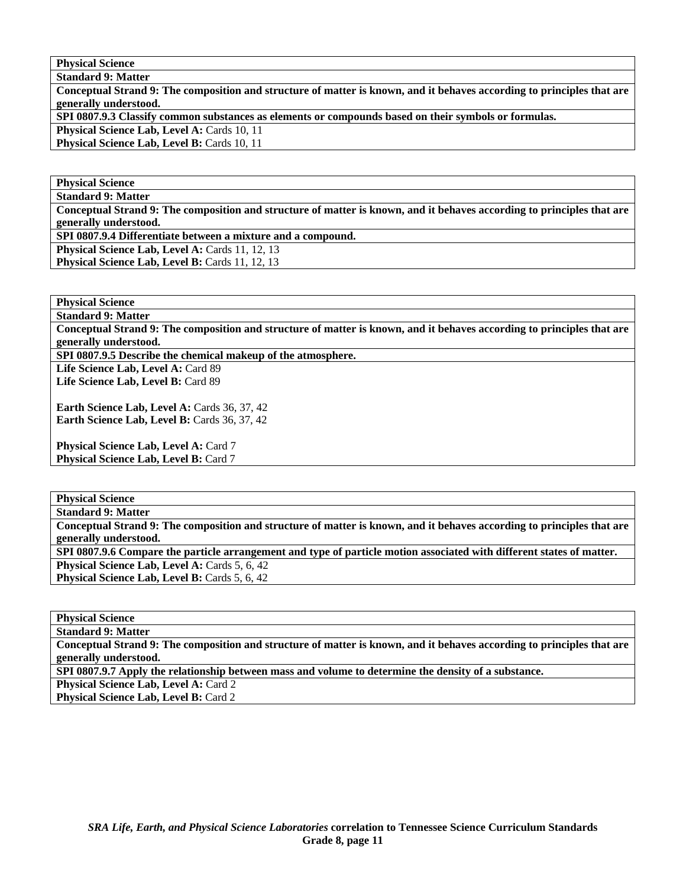**Physical Science** 

**Standard 9: Matter** 

**Conceptual Strand 9: The composition and structure of matter is known, and it behaves according to principles that are generally understood. SPI 0807.9.3 Classify common substances as elements or compounds based on their symbols or formulas. Physical Science Lab, Level A: Cards 10, 11 Physical Science Lab, Level B: Cards 10, 11** 

**Physical Science Standard 9: Matter** 

**Conceptual Strand 9: The composition and structure of matter is known, and it behaves according to principles that are generally understood.** 

**SPI 0807.9.4 Differentiate between a mixture and a compound.** 

**Physical Science Lab, Level A: Cards 11, 12, 13** 

Physical Science Lab, Level B: Cards 11, 12, 13

**Physical Science Standard 9: Matter** 

**Conceptual Strand 9: The composition and structure of matter is known, and it behaves according to principles that are generally understood.** 

**SPI 0807.9.5 Describe the chemical makeup of the atmosphere.** 

Life Science Lab, Level A: Card 89 Life Science Lab, Level B: Card 89

**Earth Science Lab, Level A: Cards 36, 37, 42 Earth Science Lab, Level B: Cards 36, 37, 42** 

**Physical Science Lab, Level A: Card 7 Physical Science Lab, Level B: Card 7** 

**Physical Science Standard 9: Matter Conceptual Strand 9: The composition and structure of matter is known, and it behaves according to principles that are generally understood. SPI 0807.9.6 Compare the particle arrangement and type of particle motion associated with different states of matter. Physical Science Lab, Level A: Cards 5, 6, 42 Physical Science Lab, Level B: Cards 5, 6, 42** 

**Physical Science Standard 9: Matter** 

**Conceptual Strand 9: The composition and structure of matter is known, and it behaves according to principles that are generally understood. SPI 0807.9.7 Apply the relationship between mass and volume to determine the density of a substance. Physical Science Lab, Level A: Card 2** 

Physical Science Lab, Level B: Card 2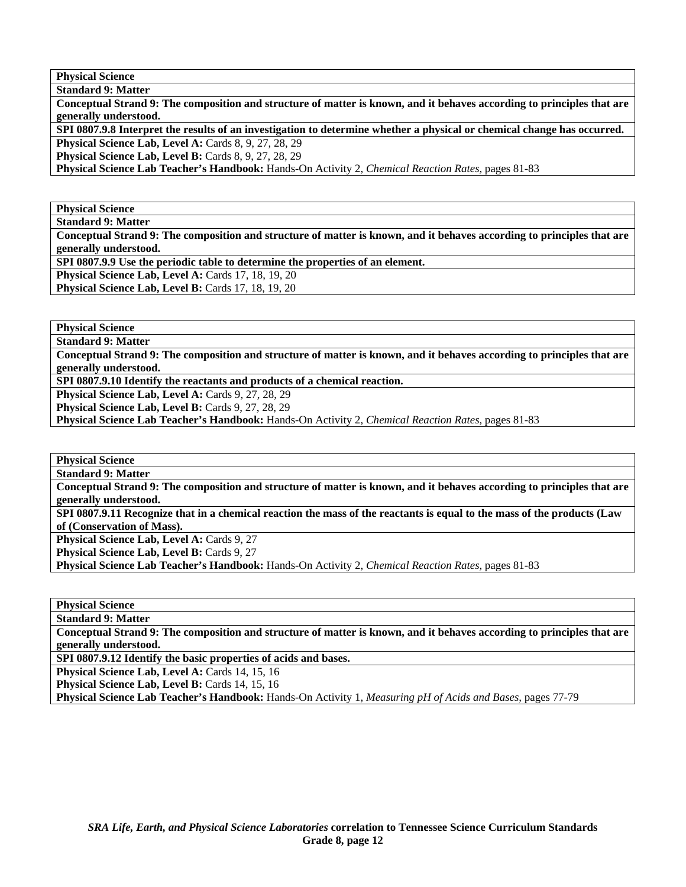**Physical Science Standard 9: Matter** 

**Conceptual Strand 9: The composition and structure of matter is known, and it behaves according to principles that are generally understood.** 

**SPI 0807.9.8 Interpret the results of an investigation to determine whether a physical or chemical change has occurred. Physical Science Lab, Level A: Cards 8, 9, 27, 28, 29** 

**Physical Science Lab, Level B: Cards 8, 9, 27, 28, 29** 

**Physical Science Lab Teacher's Handbook:** Hands-On Activity 2, *Chemical Reaction Rates,* pages 81-83

**Physical Science** 

**Standard 9: Matter** 

**Conceptual Strand 9: The composition and structure of matter is known, and it behaves according to principles that are generally understood.** 

**SPI 0807.9.9 Use the periodic table to determine the properties of an element.** 

**Physical Science Lab, Level A: Cards 17, 18, 19, 20** 

**Physical Science Lab, Level B: Cards 17, 18, 19, 20** 

**Physical Science** 

**Standard 9: Matter** 

**Conceptual Strand 9: The composition and structure of matter is known, and it behaves according to principles that are generally understood.** 

**SPI 0807.9.10 Identify the reactants and products of a chemical reaction.** 

Physical Science Lab, Level A: Cards 9, 27, 28, 29

Physical Science Lab, Level B: Cards 9, 27, 28, 29

**Physical Science Lab Teacher's Handbook:** Hands-On Activity 2, *Chemical Reaction Rates,* pages 81-83

**Physical Science** 

**Standard 9: Matter** 

**Conceptual Strand 9: The composition and structure of matter is known, and it behaves according to principles that are generally understood.** 

**SPI 0807.9.11 Recognize that in a chemical reaction the mass of the reactants is equal to the mass of the products (Law of (Conservation of Mass).** 

Physical Science Lab, Level A: Cards 9, 27

**Physical Science Lab, Level B: Cards 9, 27** 

**Physical Science Lab Teacher's Handbook:** Hands-On Activity 2, *Chemical Reaction Rates,* pages 81-83

**Physical Science** 

**Standard 9: Matter** 

**Conceptual Strand 9: The composition and structure of matter is known, and it behaves according to principles that are generally understood.** 

**SPI 0807.9.12 Identify the basic properties of acids and bases.** 

**Physical Science Lab, Level A: Cards 14, 15, 16** 

Physical Science Lab, Level B: Cards 14, 15, 16

**Physical Science Lab Teacher's Handbook:** Hands-On Activity 1, *Measuring pH of Acids and Bases,* pages 77-79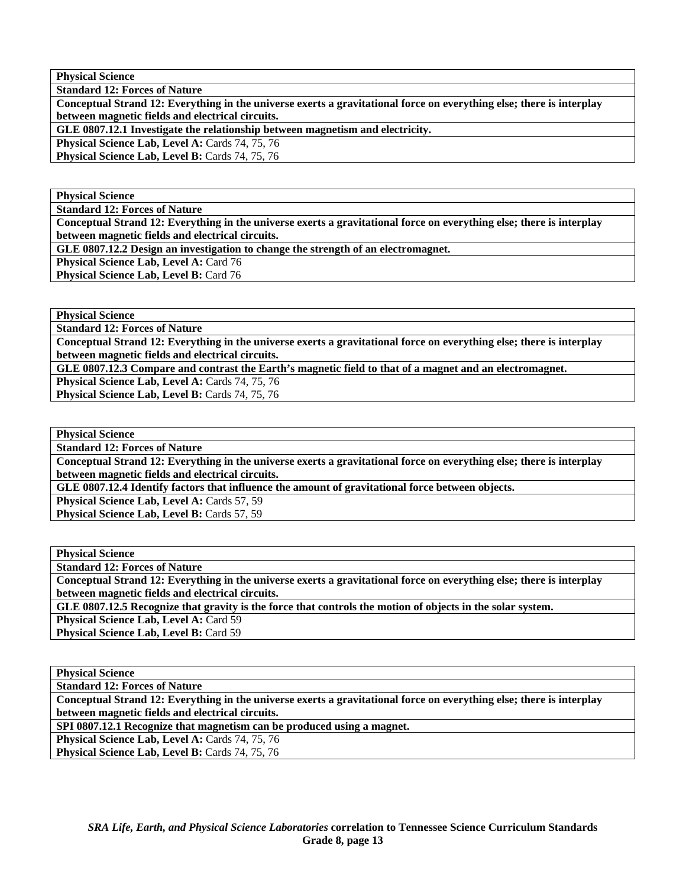**Physical Science** 

**Standard 12: Forces of Nature** 

**Conceptual Strand 12: Everything in the universe exerts a gravitational force on everything else; there is interplay between magnetic fields and electrical circuits.** 

**GLE 0807.12.1 Investigate the relationship between magnetism and electricity.** 

Physical Science Lab, Level A: Cards 74, 75, 76

Physical Science Lab, Level B: Cards 74, 75, 76

**Physical Science** 

**Standard 12: Forces of Nature** 

**Conceptual Strand 12: Everything in the universe exerts a gravitational force on everything else; there is interplay between magnetic fields and electrical circuits.** 

**GLE 0807.12.2 Design an investigation to change the strength of an electromagnet.** 

Physical Science Lab, Level A: Card 76

**Physical Science Lab, Level B: Card 76** 

**Physical Science** 

**Standard 12: Forces of Nature** 

**Conceptual Strand 12: Everything in the universe exerts a gravitational force on everything else; there is interplay between magnetic fields and electrical circuits.** 

**GLE 0807.12.3 Compare and contrast the Earth's magnetic field to that of a magnet and an electromagnet.** 

Physical Science Lab, Level A: Cards 74, 75, 76

Physical Science Lab, Level B: Cards 74, 75, 76

**Physical Science** 

**Standard 12: Forces of Nature** 

**Conceptual Strand 12: Everything in the universe exerts a gravitational force on everything else; there is interplay between magnetic fields and electrical circuits.** 

**GLE 0807.12.4 Identify factors that influence the amount of gravitational force between objects.** 

**Physical Science Lab, Level A: Cards 57, 59** Physical Science Lab, Level B: Cards 57, 59

**Physical Science** 

**Standard 12: Forces of Nature** 

**Conceptual Strand 12: Everything in the universe exerts a gravitational force on everything else; there is interplay between magnetic fields and electrical circuits.** 

**GLE 0807.12.5 Recognize that gravity is the force that controls the motion of objects in the solar system.** 

Physical Science Lab, Level A: Card 59

**Physical Science Lab, Level B: Card 59** 

**Physical Science** 

**Standard 12: Forces of Nature** 

**Conceptual Strand 12: Everything in the universe exerts a gravitational force on everything else; there is interplay between magnetic fields and electrical circuits.** 

**SPI 0807.12.1 Recognize that magnetism can be produced using a magnet.** 

Physical Science Lab, Level A: Cards 74, 75, 76

Physical Science Lab, Level B: Cards 74, 75, 76